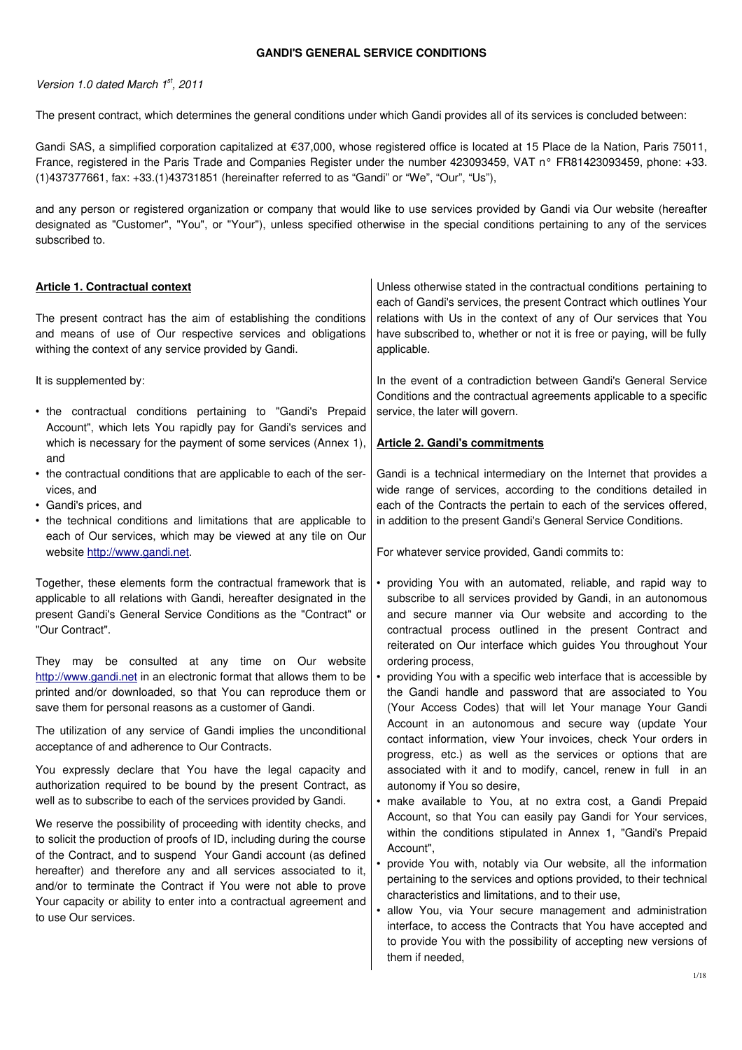### **GANDI'S GENERAL SERVICE CONDITIONS**

### Version 1.0 dated March 1st, 2011

The present contract, which determines the general conditions under which Gandi provides all of its services is concluded between:

Gandi SAS, a simplified corporation capitalized at €37,000, whose registered office is located at 15 Place de la Nation, Paris 75011, France, registered in the Paris Trade and Companies Register under the number 423093459, VAT n° FR81423093459, phone: +33. (1)437377661, fax: +33.(1)43731851 (hereinafter referred to as "Gandi" or "We", "Our", "Us"),

and any person or registered organization or company that would like to use services provided by Gandi via Our website (hereafter designated as "Customer", "You", or "Your"), unless specified otherwise in the special conditions pertaining to any of the services subscribed to.

| <b>Article 1. Contractual context</b><br>The present contract has the aim of establishing the conditions<br>and means of use of Our respective services and obligations<br>withing the context of any service provided by Gandi.                                                                                                                                                                                                                                                                                                                                                                                                                                                                                                                                                                                                                                                                                                                                                                                                                                                                                      | Unless otherwise stated in the contractual conditions pertaining to<br>each of Gandi's services, the present Contract which outlines Your<br>relations with Us in the context of any of Our services that You<br>have subscribed to, whether or not it is free or paying, will be fully<br>applicable.                                                                                                                                                                                                                                                                                                                                                                                                                                                                                                                                                                                                                                                                                                                                                                                                                                                                                                                                                                                                                           |
|-----------------------------------------------------------------------------------------------------------------------------------------------------------------------------------------------------------------------------------------------------------------------------------------------------------------------------------------------------------------------------------------------------------------------------------------------------------------------------------------------------------------------------------------------------------------------------------------------------------------------------------------------------------------------------------------------------------------------------------------------------------------------------------------------------------------------------------------------------------------------------------------------------------------------------------------------------------------------------------------------------------------------------------------------------------------------------------------------------------------------|----------------------------------------------------------------------------------------------------------------------------------------------------------------------------------------------------------------------------------------------------------------------------------------------------------------------------------------------------------------------------------------------------------------------------------------------------------------------------------------------------------------------------------------------------------------------------------------------------------------------------------------------------------------------------------------------------------------------------------------------------------------------------------------------------------------------------------------------------------------------------------------------------------------------------------------------------------------------------------------------------------------------------------------------------------------------------------------------------------------------------------------------------------------------------------------------------------------------------------------------------------------------------------------------------------------------------------|
| It is supplemented by:<br>• the contractual conditions pertaining to "Gandi's Prepaid<br>Account", which lets You rapidly pay for Gandi's services and<br>which is necessary for the payment of some services (Annex 1),<br>and<br>• the contractual conditions that are applicable to each of the ser-<br>vices, and<br>• Gandi's prices, and<br>• the technical conditions and limitations that are applicable to<br>each of Our services, which may be viewed at any tile on Our<br>website http://www.gandi.net.<br>Together, these elements form the contractual framework that is<br>applicable to all relations with Gandi, hereafter designated in the                                                                                                                                                                                                                                                                                                                                                                                                                                                        | In the event of a contradiction between Gandi's General Service<br>Conditions and the contractual agreements applicable to a specific<br>service, the later will govern.<br><b>Article 2. Gandi's commitments</b><br>Gandi is a technical intermediary on the Internet that provides a<br>wide range of services, according to the conditions detailed in<br>each of the Contracts the pertain to each of the services offered,<br>in addition to the present Gandi's General Service Conditions.<br>For whatever service provided, Gandi commits to:<br>• providing You with an automated, reliable, and rapid way to<br>subscribe to all services provided by Gandi, in an autonomous                                                                                                                                                                                                                                                                                                                                                                                                                                                                                                                                                                                                                                          |
| present Gandi's General Service Conditions as the "Contract" or<br>"Our Contract".<br>They may be consulted at any time on Our website<br>http://www.gandi.net in an electronic format that allows them to be<br>printed and/or downloaded, so that You can reproduce them or<br>save them for personal reasons as a customer of Gandi.<br>The utilization of any service of Gandi implies the unconditional<br>acceptance of and adherence to Our Contracts.<br>You expressly declare that You have the legal capacity and<br>authorization required to be bound by the present Contract, as<br>well as to subscribe to each of the services provided by Gandi.<br>We reserve the possibility of proceeding with identity checks, and<br>to solicit the production of proofs of ID, including during the course<br>of the Contract, and to suspend Your Gandi account (as defined<br>hereafter) and therefore any and all services associated to it,<br>and/or to terminate the Contract if You were not able to prove<br>Your capacity or ability to enter into a contractual agreement and<br>to use Our services. | and secure manner via Our website and according to the<br>contractual process outlined in the present Contract and<br>reiterated on Our interface which guides You throughout Your<br>ordering process,<br>• providing You with a specific web interface that is accessible by<br>the Gandi handle and password that are associated to You<br>(Your Access Codes) that will let Your manage Your Gandi<br>Account in an autonomous and secure way (update Your<br>contact information, view Your invoices, check Your orders in<br>progress, etc.) as well as the services or options that are<br>associated with it and to modify, cancel, renew in full in an<br>autonomy if You so desire,<br>· make available to You, at no extra cost, a Gandi Prepaid<br>Account, so that You can easily pay Gandi for Your services,<br>within the conditions stipulated in Annex 1, "Gandi's Prepaid<br>Account",<br>• provide You with, notably via Our website, all the information<br>pertaining to the services and options provided, to their technical<br>characteristics and limitations, and to their use,<br>• allow You, via Your secure management and administration<br>interface, to access the Contracts that You have accepted and<br>to provide You with the possibility of accepting new versions of<br>them if needed, |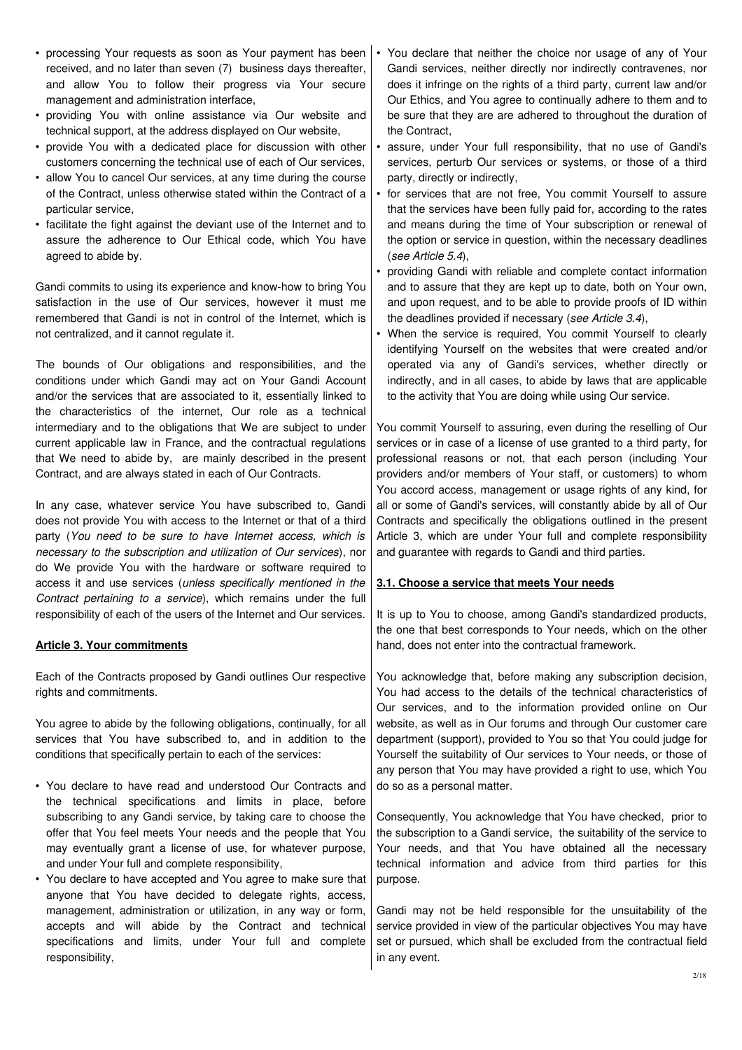- processing Your requests as soon as Your payment has been received, and no later than seven (7) business days thereafter, and allow You to follow their progress via Your secure management and administration interface,
- providing You with online assistance via Our website and technical support, at the address displayed on Our website,
- provide You with a dedicated place for discussion with other customers concerning the technical use of each of Our services,
- allow You to cancel Our services, at any time during the course of the Contract, unless otherwise stated within the Contract of a particular service,
- facilitate the fight against the deviant use of the Internet and to assure the adherence to Our Ethical code, which You have agreed to abide by.

Gandi commits to using its experience and know-how to bring You satisfaction in the use of Our services, however it must me remembered that Gandi is not in control of the Internet, which is not centralized, and it cannot regulate it.

The bounds of Our obligations and responsibilities, and the conditions under which Gandi may act on Your Gandi Account and/or the services that are associated to it, essentially linked to the characteristics of the internet, Our role as a technical intermediary and to the obligations that We are subject to under current applicable law in France, and the contractual regulations that We need to abide by, are mainly described in the present Contract, and are always stated in each of Our Contracts.

In any case, whatever service You have subscribed to, Gandi does not provide You with access to the Internet or that of a third party (You need to be sure to have Internet access, which is necessary to the subscription and utilization of Our services), nor do We provide You with the hardware or software required to access it and use services (unless specifically mentioned in the Contract pertaining to a service), which remains under the full responsibility of each of the users of the Internet and Our services.

# **Article 3. Your commitments**

Each of the Contracts proposed by Gandi outlines Our respective rights and commitments.

You agree to abide by the following obligations, continually, for all services that You have subscribed to, and in addition to the conditions that specifically pertain to each of the services:

- You declare to have read and understood Our Contracts and the technical specifications and limits in place, before subscribing to any Gandi service, by taking care to choose the offer that You feel meets Your needs and the people that You may eventually grant a license of use, for whatever purpose, and under Your full and complete responsibility,
- You declare to have accepted and You agree to make sure that anyone that You have decided to delegate rights, access, management, administration or utilization, in any way or form, accepts and will abide by the Contract and technical specifications and limits, under Your full and complete responsibility,
- You declare that neither the choice nor usage of any of Your Gandi services, neither directly nor indirectly contravenes, nor does it infringe on the rights of a third party, current law and/or Our Ethics, and You agree to continually adhere to them and to be sure that they are are adhered to throughout the duration of the Contract,
- assure, under Your full responsibility, that no use of Gandi's services, perturb Our services or systems, or those of a third party, directly or indirectly,
- for services that are not free, You commit Yourself to assure that the services have been fully paid for, according to the rates and means during the time of Your subscription or renewal of the option or service in question, within the necessary deadlines (see Article 5.4),
- providing Gandi with reliable and complete contact information and to assure that they are kept up to date, both on Your own, and upon request, and to be able to provide proofs of ID within the deadlines provided if necessary (see Article 3.4),
- When the service is required, You commit Yourself to clearly identifying Yourself on the websites that were created and/or operated via any of Gandi's services, whether directly or indirectly, and in all cases, to abide by laws that are applicable to the activity that You are doing while using Our service.

You commit Yourself to assuring, even during the reselling of Our services or in case of a license of use granted to a third party, for professional reasons or not, that each person (including Your providers and/or members of Your staff, or customers) to whom You accord access, management or usage rights of any kind, for all or some of Gandi's services, will constantly abide by all of Our Contracts and specifically the obligations outlined in the present Article 3, which are under Your full and complete responsibility and guarantee with regards to Gandi and third parties.

# **3.1. Choose a service that meets Your needs**

It is up to You to choose, among Gandi's standardized products, the one that best corresponds to Your needs, which on the other hand, does not enter into the contractual framework.

You acknowledge that, before making any subscription decision, You had access to the details of the technical characteristics of Our services, and to the information provided online on Our website, as well as in Our forums and through Our customer care department (support), provided to You so that You could judge for Yourself the suitability of Our services to Your needs, or those of any person that You may have provided a right to use, which You do so as a personal matter.

Consequently, You acknowledge that You have checked, prior to the subscription to a Gandi service, the suitability of the service to Your needs, and that You have obtained all the necessary technical information and advice from third parties for this purpose.

Gandi may not be held responsible for the unsuitability of the service provided in view of the particular objectives You may have set or pursued, which shall be excluded from the contractual field in any event.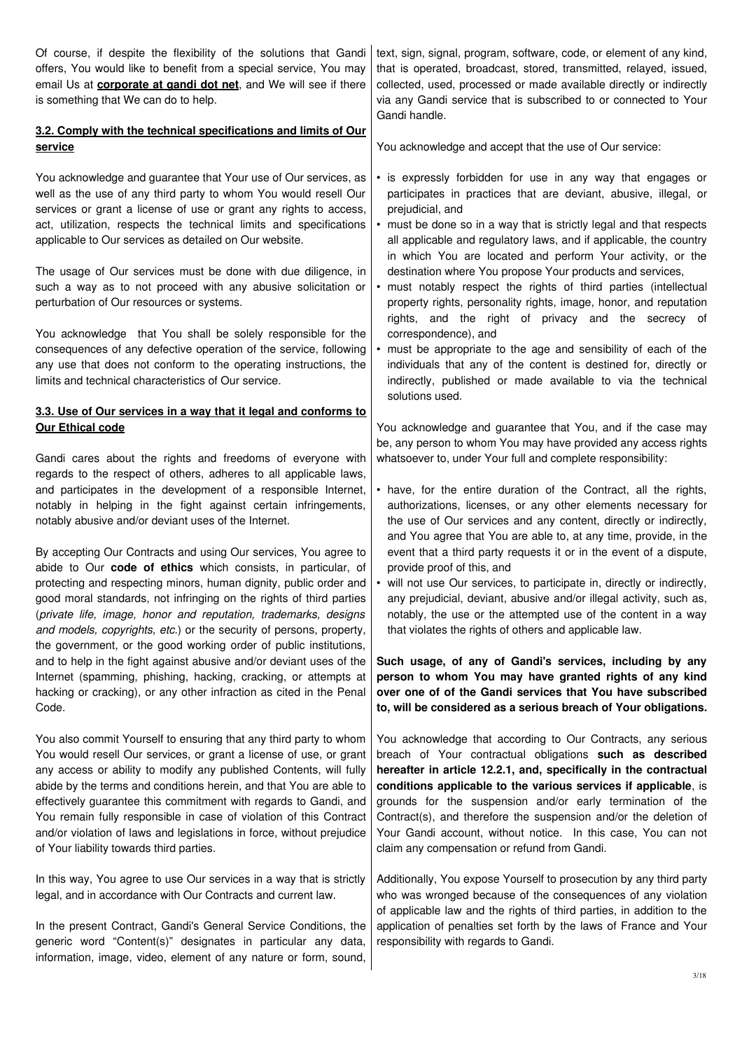| Of course, if despite the flexibility of the solutions that Gandi<br>offers, You would like to benefit from a special service, You may<br>email Us at <b>corporate at gandi dot net</b> , and We will see if there<br>is something that We can do to help.<br>3.2. Comply with the technical specifications and limits of Our                                                                                                                                                                                                                      | text, sign, signal, program, software, code, or element of any kind,<br>that is operated, broadcast, stored, transmitted, relayed, issued,<br>collected, used, processed or made available directly or indirectly<br>via any Gandi service that is subscribed to or connected to Your<br>Gandi handle.<br>You acknowledge and accept that the use of Our service:                                                                                                                                                   |
|----------------------------------------------------------------------------------------------------------------------------------------------------------------------------------------------------------------------------------------------------------------------------------------------------------------------------------------------------------------------------------------------------------------------------------------------------------------------------------------------------------------------------------------------------|---------------------------------------------------------------------------------------------------------------------------------------------------------------------------------------------------------------------------------------------------------------------------------------------------------------------------------------------------------------------------------------------------------------------------------------------------------------------------------------------------------------------|
| <b>service</b><br>You acknowledge and guarantee that Your use of Our services, as                                                                                                                                                                                                                                                                                                                                                                                                                                                                  | • is expressly forbidden for use in any way that engages or                                                                                                                                                                                                                                                                                                                                                                                                                                                         |
| well as the use of any third party to whom You would resell Our<br>services or grant a license of use or grant any rights to access,<br>act, utilization, respects the technical limits and specifications<br>applicable to Our services as detailed on Our website.                                                                                                                                                                                                                                                                               | participates in practices that are deviant, abusive, illegal, or<br>prejudicial, and<br>• must be done so in a way that is strictly legal and that respects<br>all applicable and regulatory laws, and if applicable, the country<br>in which You are located and perform Your activity, or the                                                                                                                                                                                                                     |
| The usage of Our services must be done with due diligence, in<br>such a way as to not proceed with any abusive solicitation or<br>perturbation of Our resources or systems.                                                                                                                                                                                                                                                                                                                                                                        | destination where You propose Your products and services,<br>must notably respect the rights of third parties (intellectual<br>property rights, personality rights, image, honor, and reputation<br>rights, and the right of privacy and the secrecy of                                                                                                                                                                                                                                                             |
| You acknowledge that You shall be solely responsible for the<br>consequences of any defective operation of the service, following<br>any use that does not conform to the operating instructions, the<br>limits and technical characteristics of Our service.                                                                                                                                                                                                                                                                                      | correspondence), and<br>must be appropriate to the age and sensibility of each of the<br>individuals that any of the content is destined for, directly or<br>indirectly, published or made available to via the technical<br>solutions used.                                                                                                                                                                                                                                                                        |
| 3.3. Use of Our services in a way that it legal and conforms to<br><b>Our Ethical code</b>                                                                                                                                                                                                                                                                                                                                                                                                                                                         | You acknowledge and guarantee that You, and if the case may                                                                                                                                                                                                                                                                                                                                                                                                                                                         |
| Gandi cares about the rights and freedoms of everyone with<br>regards to the respect of others, adheres to all applicable laws,                                                                                                                                                                                                                                                                                                                                                                                                                    | be, any person to whom You may have provided any access rights<br>whatsoever to, under Your full and complete responsibility:                                                                                                                                                                                                                                                                                                                                                                                       |
| and participates in the development of a responsible Internet,<br>notably in helping in the fight against certain infringements,<br>notably abusive and/or deviant uses of the Internet.                                                                                                                                                                                                                                                                                                                                                           | • have, for the entire duration of the Contract, all the rights,<br>authorizations, licenses, or any other elements necessary for<br>the use of Our services and any content, directly or indirectly,<br>and You agree that You are able to, at any time, provide, in the                                                                                                                                                                                                                                           |
| By accepting Our Contracts and using Our services, You agree to<br>abide to Our <b>code of ethics</b> which consists, in particular, of                                                                                                                                                                                                                                                                                                                                                                                                            | event that a third party requests it or in the event of a dispute,<br>provide proof of this, and                                                                                                                                                                                                                                                                                                                                                                                                                    |
| protecting and respecting minors, human dignity, public order and<br>good moral standards, not infringing on the rights of third parties<br>(private life, image, honor and reputation, trademarks, designs<br>and models, copyrights, etc.) or the security of persons, property,<br>the government, or the good working order of public institutions,                                                                                                                                                                                            | • will not use Our services, to participate in, directly or indirectly,<br>any prejudicial, deviant, abusive and/or illegal activity, such as,<br>notably, the use or the attempted use of the content in a way<br>that violates the rights of others and applicable law.                                                                                                                                                                                                                                           |
| and to help in the fight against abusive and/or deviant uses of the<br>Internet (spamming, phishing, hacking, cracking, or attempts at<br>hacking or cracking), or any other infraction as cited in the Penal<br>Code.                                                                                                                                                                                                                                                                                                                             | Such usage, of any of Gandi's services, including by any<br>person to whom You may have granted rights of any kind<br>over one of of the Gandi services that You have subscribed<br>to, will be considered as a serious breach of Your obligations.                                                                                                                                                                                                                                                                 |
| You also commit Yourself to ensuring that any third party to whom<br>You would resell Our services, or grant a license of use, or grant<br>any access or ability to modify any published Contents, will fully<br>abide by the terms and conditions herein, and that You are able to<br>effectively guarantee this commitment with regards to Gandi, and<br>You remain fully responsible in case of violation of this Contract<br>and/or violation of laws and legislations in force, without prejudice<br>of Your liability towards third parties. | You acknowledge that according to Our Contracts, any serious<br>breach of Your contractual obligations such as described<br>hereafter in article 12.2.1, and, specifically in the contractual<br>conditions applicable to the various services if applicable, is<br>grounds for the suspension and/or early termination of the<br>Contract(s), and therefore the suspension and/or the deletion of<br>Your Gandi account, without notice. In this case, You can not<br>claim any compensation or refund from Gandi. |
| In this way, You agree to use Our services in a way that is strictly<br>legal, and in accordance with Our Contracts and current law.                                                                                                                                                                                                                                                                                                                                                                                                               | Additionally, You expose Yourself to prosecution by any third party<br>who was wronged because of the consequences of any violation<br>of applicable law and the rights of third parties, in addition to the<br>tion of nonotion oot farth by the Journ of Exange and Vour                                                                                                                                                                                                                                          |

In the present Contract, Gandi's General Service Conditions, the | application of penalties set forth by the laws of France and Your generic word "Content(s)" designates in particular any data, responsibility with regards to Gandi. information, image, video, element of any nature or form, sound,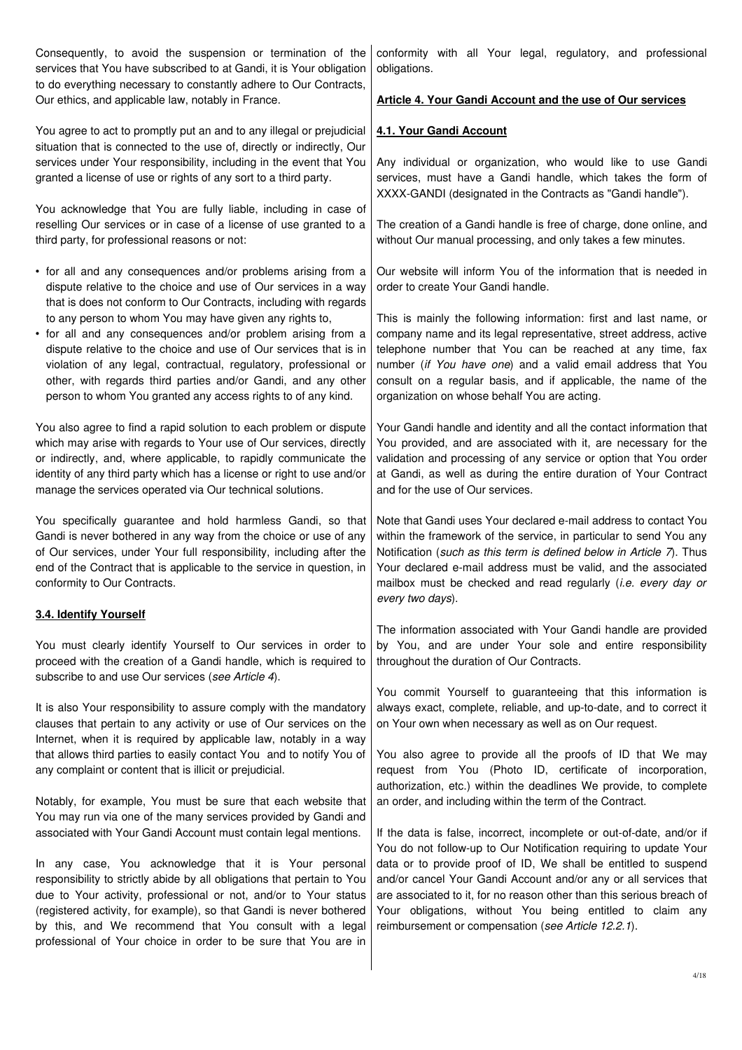| Consequently, to avoid the suspension or termination of the<br>services that You have subscribed to at Gandi, it is Your obligation<br>to do everything necessary to constantly adhere to Our Contracts,                                                                                                                                                                                                  | conformity with all Your legal, regulatory, and professional<br>obligations.                                                                                                                                                                                                                                                                                                         |
|-----------------------------------------------------------------------------------------------------------------------------------------------------------------------------------------------------------------------------------------------------------------------------------------------------------------------------------------------------------------------------------------------------------|--------------------------------------------------------------------------------------------------------------------------------------------------------------------------------------------------------------------------------------------------------------------------------------------------------------------------------------------------------------------------------------|
| Our ethics, and applicable law, notably in France.                                                                                                                                                                                                                                                                                                                                                        | Article 4. Your Gandi Account and the use of Our services                                                                                                                                                                                                                                                                                                                            |
| You agree to act to promptly put an and to any illegal or prejudicial<br>situation that is connected to the use of, directly or indirectly, Our                                                                                                                                                                                                                                                           | 4.1. Your Gandi Account                                                                                                                                                                                                                                                                                                                                                              |
| services under Your responsibility, including in the event that You<br>granted a license of use or rights of any sort to a third party.                                                                                                                                                                                                                                                                   | Any individual or organization, who would like to use Gandi<br>services, must have a Gandi handle, which takes the form of<br>XXXX-GANDI (designated in the Contracts as "Gandi handle").                                                                                                                                                                                            |
| You acknowledge that You are fully liable, including in case of<br>reselling Our services or in case of a license of use granted to a<br>third party, for professional reasons or not:                                                                                                                                                                                                                    | The creation of a Gandi handle is free of charge, done online, and<br>without Our manual processing, and only takes a few minutes.                                                                                                                                                                                                                                                   |
| • for all and any consequences and/or problems arising from a<br>dispute relative to the choice and use of Our services in a way<br>that is does not conform to Our Contracts, including with regards                                                                                                                                                                                                     | Our website will inform You of the information that is needed in<br>order to create Your Gandi handle.                                                                                                                                                                                                                                                                               |
| to any person to whom You may have given any rights to,<br>• for all and any consequences and/or problem arising from a<br>dispute relative to the choice and use of Our services that is in<br>violation of any legal, contractual, regulatory, professional or<br>other, with regards third parties and/or Gandi, and any other<br>person to whom You granted any access rights to of any kind.         | This is mainly the following information: first and last name, or<br>company name and its legal representative, street address, active<br>telephone number that You can be reached at any time, fax<br>number (if You have one) and a valid email address that You<br>consult on a regular basis, and if applicable, the name of the<br>organization on whose behalf You are acting. |
| You also agree to find a rapid solution to each problem or dispute<br>which may arise with regards to Your use of Our services, directly<br>or indirectly, and, where applicable, to rapidly communicate the<br>identity of any third party which has a license or right to use and/or<br>manage the services operated via Our technical solutions.                                                       | Your Gandi handle and identity and all the contact information that<br>You provided, and are associated with it, are necessary for the<br>validation and processing of any service or option that You order<br>at Gandi, as well as during the entire duration of Your Contract<br>and for the use of Our services.                                                                  |
| You specifically guarantee and hold harmless Gandi, so that<br>Gandi is never bothered in any way from the choice or use of any<br>of Our services, under Your full responsibility, including after the<br>end of the Contract that is applicable to the service in question, in<br>conformity to Our Contracts.                                                                                          | Note that Gandi uses Your declared e-mail address to contact You<br>within the framework of the service, in particular to send You any<br>Notification (such as this term is defined below in Article 7). Thus<br>Your declared e-mail address must be valid, and the associated<br>mailbox must be checked and read regularly (i.e. every day or<br>every two days).                |
| 3.4. Identify Yourself                                                                                                                                                                                                                                                                                                                                                                                    |                                                                                                                                                                                                                                                                                                                                                                                      |
| You must clearly identify Yourself to Our services in order to<br>proceed with the creation of a Gandi handle, which is required to<br>subscribe to and use Our services (see Article 4).                                                                                                                                                                                                                 | The information associated with Your Gandi handle are provided<br>by You, and are under Your sole and entire responsibility<br>throughout the duration of Our Contracts.                                                                                                                                                                                                             |
| It is also Your responsibility to assure comply with the mandatory<br>clauses that pertain to any activity or use of Our services on the<br>Internet, when it is required by applicable law, notably in a way                                                                                                                                                                                             | You commit Yourself to guaranteeing that this information is<br>always exact, complete, reliable, and up-to-date, and to correct it<br>on Your own when necessary as well as on Our request.                                                                                                                                                                                         |
| that allows third parties to easily contact You and to notify You of<br>any complaint or content that is illicit or prejudicial.                                                                                                                                                                                                                                                                          | You also agree to provide all the proofs of ID that We may<br>request from You (Photo ID, certificate of incorporation,<br>authorization, etc.) within the deadlines We provide, to complete                                                                                                                                                                                         |
| Notably, for example, You must be sure that each website that<br>You may run via one of the many services provided by Gandi and<br>associated with Your Gandi Account must contain legal mentions.                                                                                                                                                                                                        | an order, and including within the term of the Contract.<br>If the data is false, incorrect, incomplete or out-of-date, and/or if<br>You do not follow-up to Our Notification requiring to update Your                                                                                                                                                                               |
| In any case, You acknowledge that it is Your personal<br>responsibility to strictly abide by all obligations that pertain to You<br>due to Your activity, professional or not, and/or to Your status<br>(registered activity, for example), so that Gandi is never bothered<br>by this, and We recommend that You consult with a legal<br>professional of Your choice in order to be sure that You are in | data or to provide proof of ID, We shall be entitled to suspend<br>and/or cancel Your Gandi Account and/or any or all services that<br>are associated to it, for no reason other than this serious breach of<br>Your obligations, without You being entitled to claim any<br>reimbursement or compensation (see Article 12.2.1).                                                     |

 $\overline{\phantom{a}}$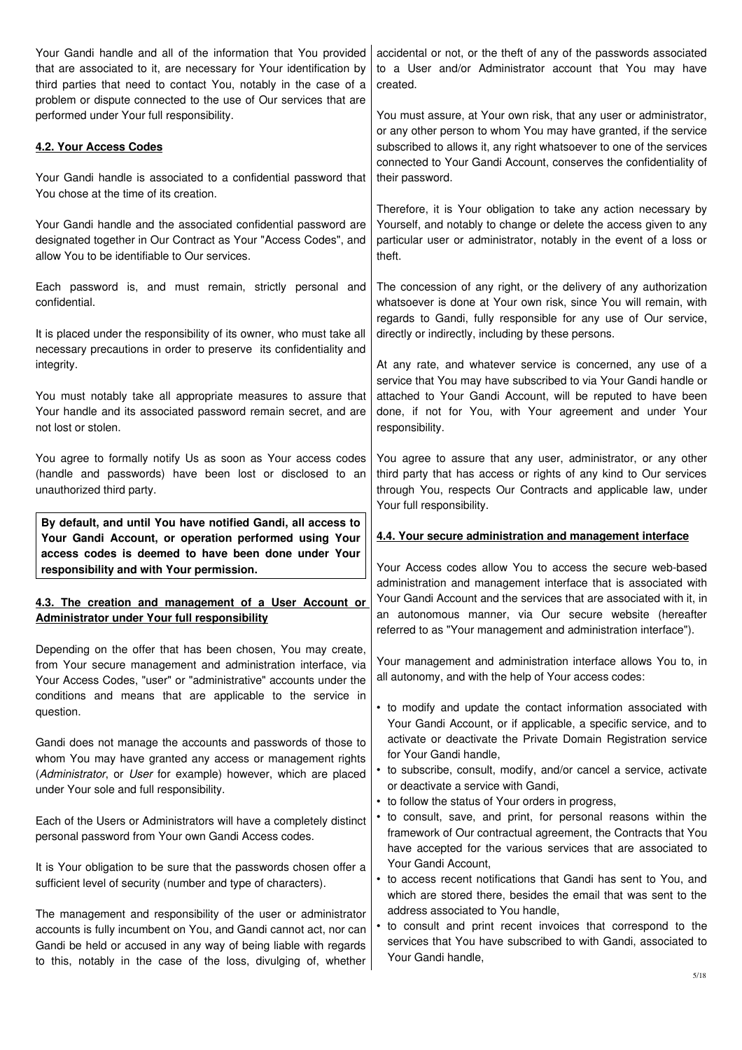| Your Gandi handle and all of the information that You provided<br>that are associated to it, are necessary for Your identification by<br>third parties that need to contact You, notably in the case of a<br>problem or dispute connected to the use of Our services that are | accidental or not, or the theft of any of the passwords associated<br>to a User and/or Administrator account that You may have<br>created.                                                                                                                                      |
|-------------------------------------------------------------------------------------------------------------------------------------------------------------------------------------------------------------------------------------------------------------------------------|---------------------------------------------------------------------------------------------------------------------------------------------------------------------------------------------------------------------------------------------------------------------------------|
| performed under Your full responsibility.                                                                                                                                                                                                                                     | You must assure, at Your own risk, that any user or administrator,<br>or any other person to whom You may have granted, if the service                                                                                                                                          |
| 4.2. Your Access Codes                                                                                                                                                                                                                                                        | subscribed to allows it, any right whatsoever to one of the services<br>connected to Your Gandi Account, conserves the confidentiality of                                                                                                                                       |
| Your Gandi handle is associated to a confidential password that<br>You chose at the time of its creation.                                                                                                                                                                     | their password.                                                                                                                                                                                                                                                                 |
| Your Gandi handle and the associated confidential password are<br>designated together in Our Contract as Your "Access Codes", and<br>allow You to be identifiable to Our services.                                                                                            | Therefore, it is Your obligation to take any action necessary by<br>Yourself, and notably to change or delete the access given to any<br>particular user or administrator, notably in the event of a loss or<br>theft.                                                          |
| Each password is, and must remain, strictly personal and<br>confidential.                                                                                                                                                                                                     | The concession of any right, or the delivery of any authorization<br>whatsoever is done at Your own risk, since You will remain, with<br>regards to Gandi, fully responsible for any use of Our service,                                                                        |
| It is placed under the responsibility of its owner, who must take all<br>necessary precautions in order to preserve its confidentiality and                                                                                                                                   | directly or indirectly, including by these persons.                                                                                                                                                                                                                             |
| integrity.<br>You must notably take all appropriate measures to assure that<br>Your handle and its associated password remain secret, and are<br>not lost or stolen.                                                                                                          | At any rate, and whatever service is concerned, any use of a<br>service that You may have subscribed to via Your Gandi handle or<br>attached to Your Gandi Account, will be reputed to have been<br>done, if not for You, with Your agreement and under Your<br>responsibility. |
| You agree to formally notify Us as soon as Your access codes<br>(handle and passwords) have been lost or disclosed to an<br>unauthorized third party.                                                                                                                         | You agree to assure that any user, administrator, or any other<br>third party that has access or rights of any kind to Our services<br>through You, respects Our Contracts and applicable law, under<br>Your full responsibility.                                               |
| By default, and until You have notified Gandi, all access to<br>Your Gandi Account, or operation performed using Your<br>access codes is deemed to have been done under Your                                                                                                  | 4.4. Your secure administration and management interface                                                                                                                                                                                                                        |
| responsibility and with Your permission.                                                                                                                                                                                                                                      | Your Access codes allow You to access the secure web-based                                                                                                                                                                                                                      |
| 4.3. The creation and management of a User Account or<br><b>Administrator under Your full responsibility</b>                                                                                                                                                                  | administration and management interface that is associated with<br>Your Gandi Account and the services that are associated with it, in<br>an autonomous manner, via Our secure website (hereafter<br>referred to as "Your management and administration interface").            |
| Depending on the offer that has been chosen, You may create,<br>from Your secure management and administration interface, via<br>Your Access Codes, "user" or "administrative" accounts under the                                                                             | Your management and administration interface allows You to, in<br>all autonomy, and with the help of Your access codes:                                                                                                                                                         |
| conditions and means that are applicable to the service in<br>question.<br>Gandi does not manage the accounts and passwords of those to                                                                                                                                       | • to modify and update the contact information associated with<br>Your Gandi Account, or if applicable, a specific service, and to<br>activate or deactivate the Private Domain Registration service                                                                            |
| whom You may have granted any access or management rights<br>(Administrator, or User for example) however, which are placed<br>under Your sole and full responsibility.                                                                                                       | for Your Gandi handle,<br>• to subscribe, consult, modify, and/or cancel a service, activate<br>or deactivate a service with Gandi,<br>• to follow the status of Your orders in progress,                                                                                       |
| Each of the Users or Administrators will have a completely distinct<br>personal password from Your own Gandi Access codes.                                                                                                                                                    | • to consult, save, and print, for personal reasons within the<br>framework of Our contractual agreement, the Contracts that You<br>have accepted for the various services that are associated to                                                                               |
| It is Your obligation to be sure that the passwords chosen offer a<br>sufficient level of security (number and type of characters).                                                                                                                                           | Your Gandi Account,<br>• to access recent notifications that Gandi has sent to You, and<br>which are stored there, besides the email that was sent to the                                                                                                                       |
| The management and responsibility of the user or administrator<br>accounts is fully incumbent on You, and Gandi cannot act, nor can<br>Gandi be held or accused in any way of being liable with regards<br>to this, notably in the case of the loss, divulging of, whether    | address associated to You handle,<br>• to consult and print recent invoices that correspond to the<br>services that You have subscribed to with Gandi, associated to<br>Your Gandi handle,                                                                                      |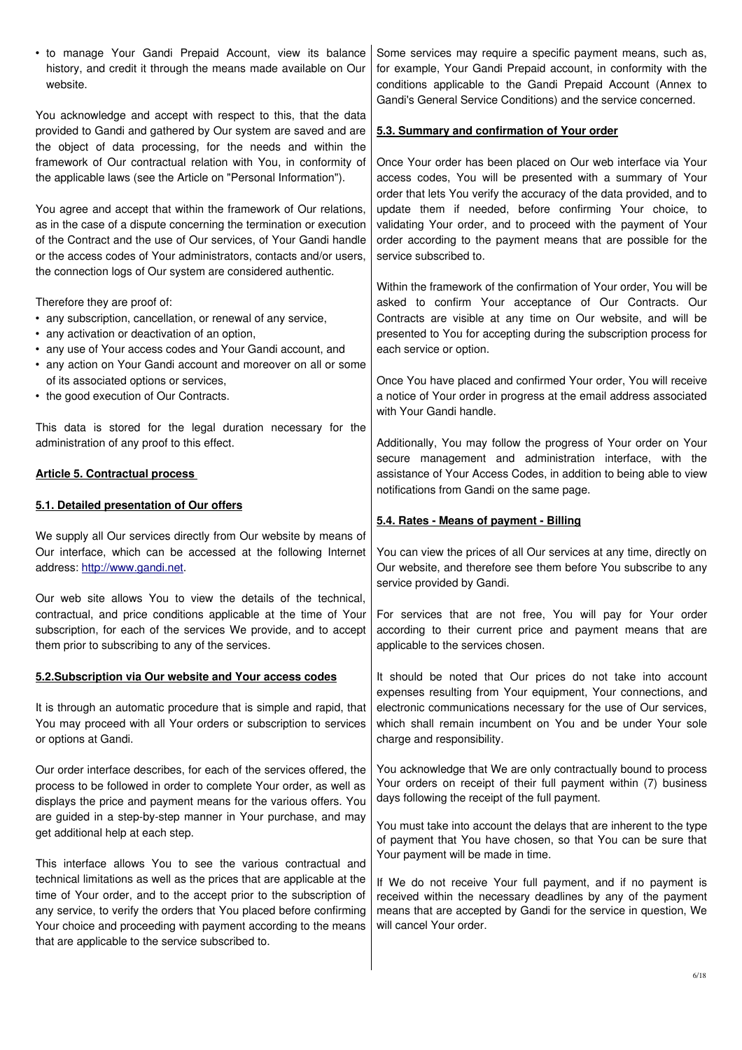| • to manage Your Gandi Prepaid Account, view its balance<br>history, and credit it through the means made available on Our<br>website.                                                                                                                                                                                                            | Some services may require a specific payment means, such as,<br>for example, Your Gandi Prepaid account, in conformity with the<br>conditions applicable to the Gandi Prepaid Account (Annex to<br>Gandi's General Service Conditions) and the service concerned.                               |
|---------------------------------------------------------------------------------------------------------------------------------------------------------------------------------------------------------------------------------------------------------------------------------------------------------------------------------------------------|-------------------------------------------------------------------------------------------------------------------------------------------------------------------------------------------------------------------------------------------------------------------------------------------------|
| You acknowledge and accept with respect to this, that the data<br>provided to Gandi and gathered by Our system are saved and are<br>the object of data processing, for the needs and within the                                                                                                                                                   | 5.3. Summary and confirmation of Your order                                                                                                                                                                                                                                                     |
| framework of Our contractual relation with You, in conformity of<br>the applicable laws (see the Article on "Personal Information").                                                                                                                                                                                                              | Once Your order has been placed on Our web interface via Your<br>access codes, You will be presented with a summary of Your<br>order that lets You verify the accuracy of the data provided, and to                                                                                             |
| You agree and accept that within the framework of Our relations,<br>as in the case of a dispute concerning the termination or execution<br>of the Contract and the use of Our services, of Your Gandi handle<br>or the access codes of Your administrators, contacts and/or users,<br>the connection logs of Our system are considered authentic. | update them if needed, before confirming Your choice, to<br>validating Your order, and to proceed with the payment of Your<br>order according to the payment means that are possible for the<br>service subscribed to.                                                                          |
| Therefore they are proof of:<br>• any subscription, cancellation, or renewal of any service,<br>• any activation or deactivation of an option,<br>• any use of Your access codes and Your Gandi account, and<br>• any action on Your Gandi account and moreover on all or some                                                                    | Within the framework of the confirmation of Your order, You will be<br>asked to confirm Your acceptance of Our Contracts. Our<br>Contracts are visible at any time on Our website, and will be<br>presented to You for accepting during the subscription process for<br>each service or option. |
| of its associated options or services,<br>• the good execution of Our Contracts.                                                                                                                                                                                                                                                                  | Once You have placed and confirmed Your order, You will receive<br>a notice of Your order in progress at the email address associated<br>with Your Gandi handle.                                                                                                                                |
| This data is stored for the legal duration necessary for the<br>administration of any proof to this effect.                                                                                                                                                                                                                                       | Additionally, You may follow the progress of Your order on Your<br>secure management and administration interface, with the                                                                                                                                                                     |
| <b>Article 5. Contractual process</b>                                                                                                                                                                                                                                                                                                             | assistance of Your Access Codes, in addition to being able to view<br>notifications from Gandi on the same page.                                                                                                                                                                                |
|                                                                                                                                                                                                                                                                                                                                                   |                                                                                                                                                                                                                                                                                                 |
| 5.1. Detailed presentation of Our offers                                                                                                                                                                                                                                                                                                          |                                                                                                                                                                                                                                                                                                 |
| We supply all Our services directly from Our website by means of<br>Our interface, which can be accessed at the following Internet<br>address: http://www.gandi.net.                                                                                                                                                                              | 5.4. Rates - Means of payment - Billing<br>You can view the prices of all Our services at any time, directly on<br>Our website, and therefore see them before You subscribe to any                                                                                                              |
| Our web site allows You to view the details of the technical,<br>contractual, and price conditions applicable at the time of Your<br>subscription, for each of the services We provide, and to accept<br>them prior to subscribing to any of the services.                                                                                        | service provided by Gandi.<br>For services that are not free, You will pay for Your order<br>according to their current price and payment means that are<br>applicable to the services chosen.                                                                                                  |
| 5.2. Subscription via Our website and Your access codes                                                                                                                                                                                                                                                                                           | It should be noted that Our prices do not take into account                                                                                                                                                                                                                                     |
| It is through an automatic procedure that is simple and rapid, that<br>You may proceed with all Your orders or subscription to services<br>or options at Gandi.                                                                                                                                                                                   | expenses resulting from Your equipment, Your connections, and<br>electronic communications necessary for the use of Our services,<br>which shall remain incumbent on You and be under Your sole<br>charge and responsibility.                                                                   |
| Our order interface describes, for each of the services offered, the<br>process to be followed in order to complete Your order, as well as<br>displays the price and payment means for the various offers. You                                                                                                                                    | You acknowledge that We are only contractually bound to process<br>Your orders on receipt of their full payment within (7) business<br>days following the receipt of the full payment.                                                                                                          |
| are guided in a step-by-step manner in Your purchase, and may<br>get additional help at each step.                                                                                                                                                                                                                                                | You must take into account the delays that are inherent to the type<br>of payment that You have chosen, so that You can be sure that<br>Your payment will be made in time.                                                                                                                      |

 $\overline{\phantom{a}}$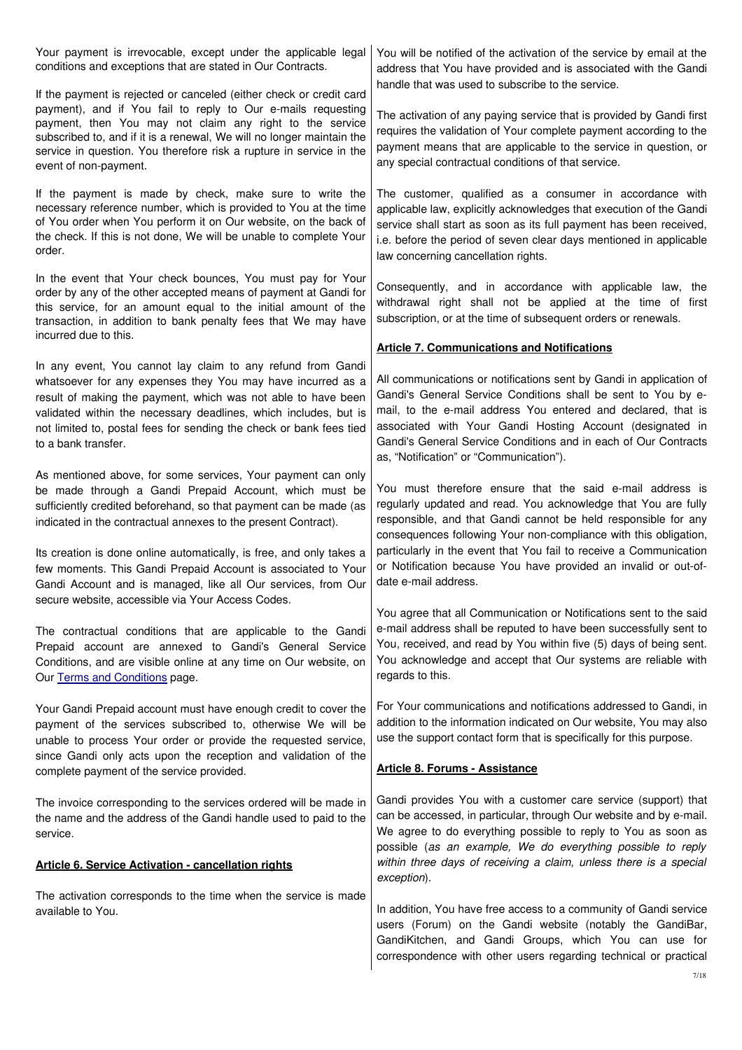| Your payment is irrevocable, except under the applicable legal<br>conditions and exceptions that are stated in Our Contracts.                                                                                                                                                                                                                                                                                                                                           | You will be notified of the activation of the service by email at the<br>address that You have provided and is associated with the Gandi                                                                                                                                                                                                                                                                                           |
|-------------------------------------------------------------------------------------------------------------------------------------------------------------------------------------------------------------------------------------------------------------------------------------------------------------------------------------------------------------------------------------------------------------------------------------------------------------------------|------------------------------------------------------------------------------------------------------------------------------------------------------------------------------------------------------------------------------------------------------------------------------------------------------------------------------------------------------------------------------------------------------------------------------------|
| If the payment is rejected or canceled (either check or credit card<br>payment), and if You fail to reply to Our e-mails requesting<br>payment, then You may not claim any right to the service<br>subscribed to, and if it is a renewal, We will no longer maintain the<br>service in question. You therefore risk a rupture in service in the<br>event of non-payment.                                                                                                | handle that was used to subscribe to the service.<br>The activation of any paying service that is provided by Gandi first<br>requires the validation of Your complete payment according to the<br>payment means that are applicable to the service in question, or<br>any special contractual conditions of that service.                                                                                                          |
| If the payment is made by check, make sure to write the<br>necessary reference number, which is provided to You at the time<br>of You order when You perform it on Our website, on the back of<br>the check. If this is not done, We will be unable to complete Your<br>order.                                                                                                                                                                                          | The customer, qualified as a consumer in accordance with<br>applicable law, explicitly acknowledges that execution of the Gandi<br>service shall start as soon as its full payment has been received,<br>i.e. before the period of seven clear days mentioned in applicable<br>law concerning cancellation rights.                                                                                                                 |
| In the event that Your check bounces, You must pay for Your<br>order by any of the other accepted means of payment at Gandi for<br>this service, for an amount equal to the initial amount of the<br>transaction, in addition to bank penalty fees that We may have<br>incurred due to this.                                                                                                                                                                            | Consequently, and in accordance with applicable law, the<br>withdrawal right shall not be applied at the time of first<br>subscription, or at the time of subsequent orders or renewals.                                                                                                                                                                                                                                           |
|                                                                                                                                                                                                                                                                                                                                                                                                                                                                         | <b>Article 7. Communications and Notifications</b>                                                                                                                                                                                                                                                                                                                                                                                 |
| In any event, You cannot lay claim to any refund from Gandi<br>whatsoever for any expenses they You may have incurred as a<br>result of making the payment, which was not able to have been<br>validated within the necessary deadlines, which includes, but is<br>not limited to, postal fees for sending the check or bank fees tied<br>to a bank transfer.                                                                                                           | All communications or notifications sent by Gandi in application of<br>Gandi's General Service Conditions shall be sent to You by e-<br>mail, to the e-mail address You entered and declared, that is<br>associated with Your Gandi Hosting Account (designated in<br>Gandi's General Service Conditions and in each of Our Contracts<br>as, "Notification" or "Communication").                                                   |
| As mentioned above, for some services, Your payment can only<br>be made through a Gandi Prepaid Account, which must be<br>sufficiently credited beforehand, so that payment can be made (as<br>indicated in the contractual annexes to the present Contract).<br>Its creation is done online automatically, is free, and only takes a<br>few moments. This Gandi Prepaid Account is associated to Your<br>Gandi Account and is managed, like all Our services, from Our | You must therefore ensure that the said e-mail address is<br>regularly updated and read. You acknowledge that You are fully<br>responsible, and that Gandi cannot be held responsible for any<br>consequences following Your non-compliance with this obligation,<br>particularly in the event that You fail to receive a Communication<br>or Notification because You have provided an invalid or out-of-<br>date e-mail address. |
| secure website, accessible via Your Access Codes.                                                                                                                                                                                                                                                                                                                                                                                                                       | You agree that all Communication or Notifications sent to the said                                                                                                                                                                                                                                                                                                                                                                 |
| The contractual conditions that are applicable to the Gandi<br>Prepaid account are annexed to Gandi's General Service<br>Conditions, and are visible online at any time on Our website, on<br>Our Terms and Conditions page.                                                                                                                                                                                                                                            | e-mail address shall be reputed to have been successfully sent to<br>You, received, and read by You within five (5) days of being sent.<br>You acknowledge and accept that Our systems are reliable with<br>regards to this.                                                                                                                                                                                                       |
| Your Gandi Prepaid account must have enough credit to cover the<br>payment of the services subscribed to, otherwise We will be<br>unable to process Your order or provide the requested service,<br>since Gandi only acts upon the reception and validation of the                                                                                                                                                                                                      | For Your communications and notifications addressed to Gandi, in<br>addition to the information indicated on Our website, You may also<br>use the support contact form that is specifically for this purpose.                                                                                                                                                                                                                      |
| complete payment of the service provided.                                                                                                                                                                                                                                                                                                                                                                                                                               | <b>Article 8. Forums - Assistance</b>                                                                                                                                                                                                                                                                                                                                                                                              |
| The invoice corresponding to the services ordered will be made in<br>the name and the address of the Gandi handle used to paid to the<br>service.                                                                                                                                                                                                                                                                                                                       | Gandi provides You with a customer care service (support) that<br>can be accessed, in particular, through Our website and by e-mail.<br>We agree to do everything possible to reply to You as soon as<br>possible (as an example, We do everything possible to reply                                                                                                                                                               |
| <b>Article 6. Service Activation - cancellation rights</b>                                                                                                                                                                                                                                                                                                                                                                                                              | within three days of receiving a claim, unless there is a special<br>exception).                                                                                                                                                                                                                                                                                                                                                   |
| The activation corresponds to the time when the service is made<br>available to You.                                                                                                                                                                                                                                                                                                                                                                                    | In addition, You have free access to a community of Gandi service<br>users (Forum) on the Gandi website (notably the GandiBar,<br>GandiKitchen, and Gandi Groups, which You can use for<br>correspondence with other users regarding technical or practical                                                                                                                                                                        |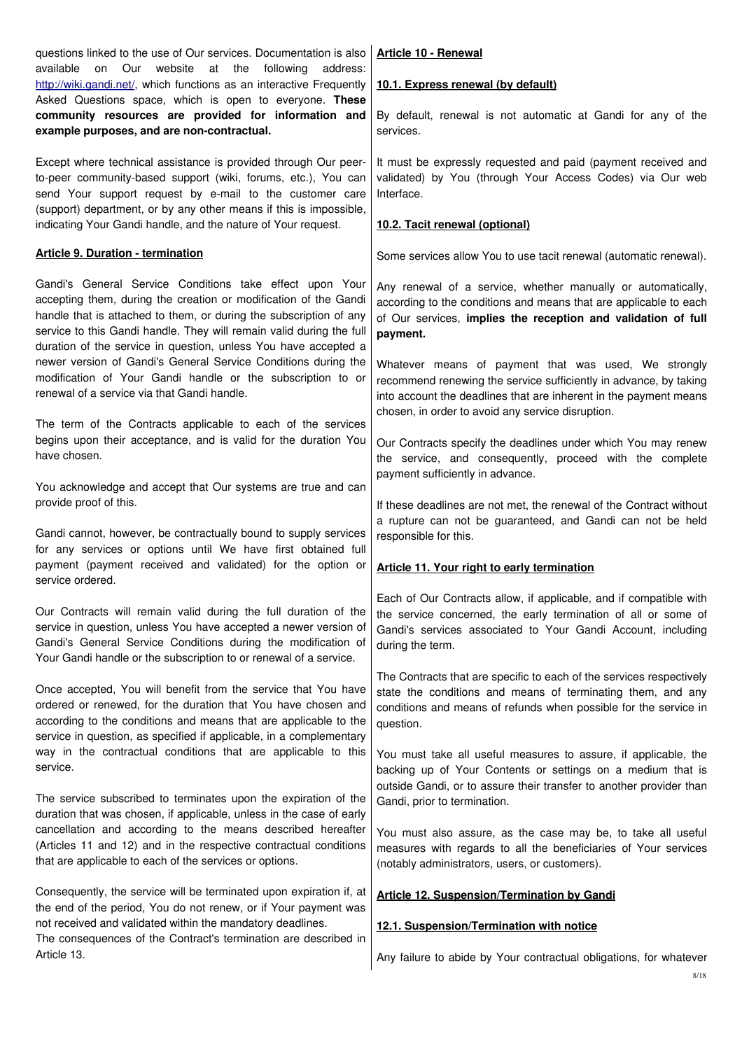| questions linked to the use of Our services. Documentation is also<br>on Our<br>website<br>available<br>at the<br>following<br>address:                                                                                                                                                                                                       | Article 10 - Renewal                                                                                                                                                                                                                                |
|-----------------------------------------------------------------------------------------------------------------------------------------------------------------------------------------------------------------------------------------------------------------------------------------------------------------------------------------------|-----------------------------------------------------------------------------------------------------------------------------------------------------------------------------------------------------------------------------------------------------|
| http://wiki.gandi.net/, which functions as an interactive Frequently                                                                                                                                                                                                                                                                          | 10.1. Express renewal (by default)                                                                                                                                                                                                                  |
| Asked Questions space, which is open to everyone. These<br>community resources are provided for information and<br>example purposes, and are non-contractual.                                                                                                                                                                                 | By default, renewal is not automatic at Gandi for any of the<br>services.                                                                                                                                                                           |
| Except where technical assistance is provided through Our peer-<br>to-peer community-based support (wiki, forums, etc.), You can<br>send Your support request by e-mail to the customer care                                                                                                                                                  | It must be expressly requested and paid (payment received and<br>validated) by You (through Your Access Codes) via Our web<br>Interface.                                                                                                            |
| (support) department, or by any other means if this is impossible,<br>indicating Your Gandi handle, and the nature of Your request.                                                                                                                                                                                                           | 10.2. Tacit renewal (optional)                                                                                                                                                                                                                      |
| <b>Article 9. Duration - termination</b>                                                                                                                                                                                                                                                                                                      | Some services allow You to use tacit renewal (automatic renewal).                                                                                                                                                                                   |
| Gandi's General Service Conditions take effect upon Your<br>accepting them, during the creation or modification of the Gandi<br>handle that is attached to them, or during the subscription of any<br>service to this Gandi handle. They will remain valid during the full<br>duration of the service in question, unless You have accepted a | Any renewal of a service, whether manually or automatically,<br>according to the conditions and means that are applicable to each<br>of Our services, implies the reception and validation of full<br>payment.                                      |
| newer version of Gandi's General Service Conditions during the<br>modification of Your Gandi handle or the subscription to or<br>renewal of a service via that Gandi handle.                                                                                                                                                                  | Whatever means of payment that was used, We strongly<br>recommend renewing the service sufficiently in advance, by taking<br>into account the deadlines that are inherent in the payment means<br>chosen, in order to avoid any service disruption. |
| The term of the Contracts applicable to each of the services<br>begins upon their acceptance, and is valid for the duration You<br>have chosen.                                                                                                                                                                                               | Our Contracts specify the deadlines under which You may renew<br>the service, and consequently, proceed with the complete<br>payment sufficiently in advance.                                                                                       |
| You acknowledge and accept that Our systems are true and can<br>provide proof of this.                                                                                                                                                                                                                                                        | If these deadlines are not met, the renewal of the Contract without<br>a rupture can not be guaranteed, and Gandi can not be held                                                                                                                   |
| Gandi cannot, however, be contractually bound to supply services<br>for any services or options until We have first obtained full<br>payment (payment received and validated) for the option or                                                                                                                                               | responsible for this.                                                                                                                                                                                                                               |
| service ordered.                                                                                                                                                                                                                                                                                                                              | <b>Article 11. Your right to early termination</b>                                                                                                                                                                                                  |
| Our Contracts will remain valid during the full duration of the<br>service in question, unless You have accepted a newer version of<br>Gandi's General Service Conditions during the modification of<br>Your Gandi handle or the subscription to or renewal of a service.                                                                     | Each of Our Contracts allow, if applicable, and if compatible with<br>the service concerned, the early termination of all or some of<br>Gandi's services associated to Your Gandi Account, including<br>during the term.                            |
| Once accepted, You will benefit from the service that You have<br>ordered or renewed, for the duration that You have chosen and<br>according to the conditions and means that are applicable to the<br>service in question, as specified if applicable, in a complementary                                                                    | The Contracts that are specific to each of the services respectively<br>state the conditions and means of terminating them, and any<br>conditions and means of refunds when possible for the service in<br>question.                                |
| way in the contractual conditions that are applicable to this<br>service.                                                                                                                                                                                                                                                                     | You must take all useful measures to assure, if applicable, the<br>backing up of Your Contents or settings on a medium that is<br>outside Gandi, or to assure their transfer to another provider than                                               |
| The service subscribed to terminates upon the expiration of the<br>duration that was chosen, if applicable, unless in the case of early                                                                                                                                                                                                       | Gandi, prior to termination.                                                                                                                                                                                                                        |
| cancellation and according to the means described hereafter<br>(Articles 11 and 12) and in the respective contractual conditions<br>that are applicable to each of the services or options.                                                                                                                                                   | You must also assure, as the case may be, to take all useful<br>measures with regards to all the beneficiaries of Your services<br>(notably administrators, users, or customers).                                                                   |
| Consequently, the service will be terminated upon expiration if, at<br>the end of the period, You do not renew, or if Your payment was                                                                                                                                                                                                        | <b>Article 12. Suspension/Termination by Gandi</b>                                                                                                                                                                                                  |
| not received and validated within the mandatory deadlines.<br>The consequences of the Contract's termination are described in                                                                                                                                                                                                                 | 12.1. Suspension/Termination with notice                                                                                                                                                                                                            |
| Article 13.                                                                                                                                                                                                                                                                                                                                   | Any failure to abide by Your contractual obligations, for whatever                                                                                                                                                                                  |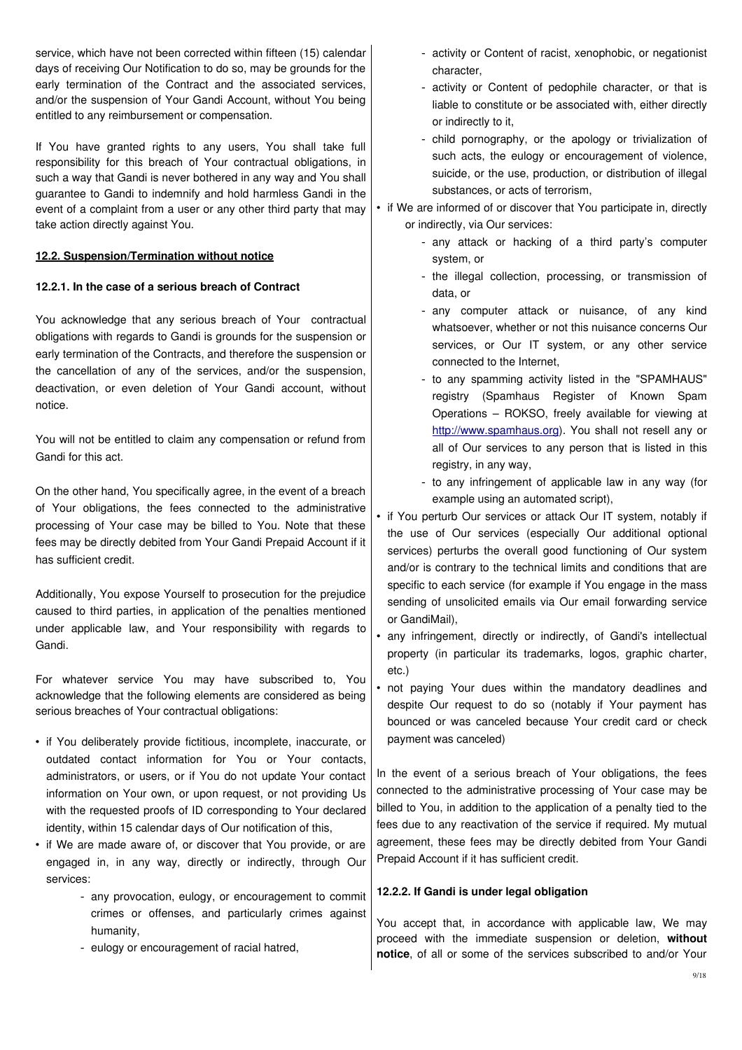service, which have not been corrected within fifteen (15) calendar days of receiving Our Notification to do so, may be grounds for the early termination of the Contract and the associated services, and/or the suspension of Your Gandi Account, without You being entitled to any reimbursement or compensation.

If You have granted rights to any users, You shall take full responsibility for this breach of Your contractual obligations, in such a way that Gandi is never bothered in any way and You shall guarantee to Gandi to indemnify and hold harmless Gandi in the event of a complaint from a user or any other third party that may take action directly against You.

# **12.2. Suspension/Termination without notice**

## **12.2.1. In the case of a serious breach of Contract**

You acknowledge that any serious breach of Your contractual obligations with regards to Gandi is grounds for the suspension or early termination of the Contracts, and therefore the suspension or the cancellation of any of the services, and/or the suspension, deactivation, or even deletion of Your Gandi account, without notice.

You will not be entitled to claim any compensation or refund from Gandi for this act.

On the other hand, You specifically agree, in the event of a breach of Your obligations, the fees connected to the administrative processing of Your case may be billed to You. Note that these fees may be directly debited from Your Gandi Prepaid Account if it has sufficient credit.

Additionally, You expose Yourself to prosecution for the prejudice caused to third parties, in application of the penalties mentioned under applicable law, and Your responsibility with regards to Gandi.

For whatever service You may have subscribed to, You acknowledge that the following elements are considered as being serious breaches of Your contractual obligations:

- if You deliberately provide fictitious, incomplete, inaccurate, or outdated contact information for You or Your contacts, administrators, or users, or if You do not update Your contact information on Your own, or upon request, or not providing Us with the requested proofs of ID corresponding to Your declared identity, within 15 calendar days of Our notification of this,
- if We are made aware of, or discover that You provide, or are engaged in, in any way, directly or indirectly, through Our services:
	- any provocation, eulogy, or encouragement to commit crimes or offenses, and particularly crimes against humanity,
	- eulogy or encouragement of racial hatred,
- activity or Content of racist, xenophobic, or negationist character,
- activity or Content of pedophile character, or that is liable to constitute or be associated with, either directly or indirectly to it,
- child pornography, or the apology or trivialization of such acts, the eulogy or encouragement of violence, suicide, or the use, production, or distribution of illegal substances, or acts of terrorism,

• if We are informed of or discover that You participate in, directly or indirectly, via Our services:

- any attack or hacking of a third party's computer system, or
- the illegal collection, processing, or transmission of data, or
- any computer attack or nuisance, of any kind whatsoever, whether or not this nuisance concerns Our services, or Our IT system, or any other service connected to the Internet,
- to any spamming activity listed in the "SPAMHAUS" registry (Spamhaus Register of Known Spam Operations – ROKSO, freely available for viewing at [http://www.spamhaus.org\)](http://www.spamhaus.org/). You shall not resell any or all of Our services to any person that is listed in this registry, in any way,
- to any infringement of applicable law in any way (for example using an automated script),
- if You perturb Our services or attack Our IT system, notably if the use of Our services (especially Our additional optional services) perturbs the overall good functioning of Our system and/or is contrary to the technical limits and conditions that are specific to each service (for example if You engage in the mass sending of unsolicited emails via Our email forwarding service or GandiMail),
- any infringement, directly or indirectly, of Gandi's intellectual property (in particular its trademarks, logos, graphic charter, etc.)
- not paying Your dues within the mandatory deadlines and despite Our request to do so (notably if Your payment has bounced or was canceled because Your credit card or check payment was canceled)

In the event of a serious breach of Your obligations, the fees connected to the administrative processing of Your case may be billed to You, in addition to the application of a penalty tied to the fees due to any reactivation of the service if required. My mutual agreement, these fees may be directly debited from Your Gandi Prepaid Account if it has sufficient credit.

### **12.2.2. If Gandi is under legal obligation**

You accept that, in accordance with applicable law, We may proceed with the immediate suspension or deletion, **without notice**, of all or some of the services subscribed to and/or Your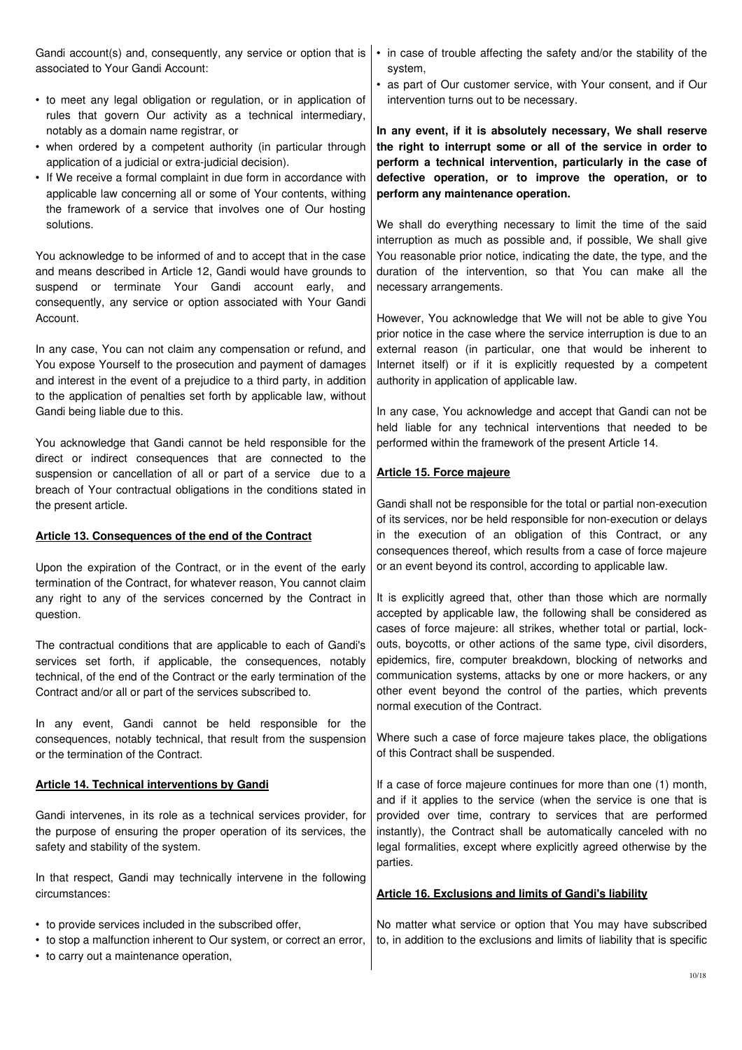Gandi account(s) and, consequently, any service or option that is associated to Your Gandi Account: • to meet any legal obligation or regulation, or in application of rules that govern Our activity as a technical intermediary, notably as a domain name registrar, or • when ordered by a competent authority (in particular through application of a judicial or extra-judicial decision). • If We receive a formal complaint in due form in accordance with applicable law concerning all or some of Your contents, withing the framework of a service that involves one of Our hosting solutions. You acknowledge to be informed of and to accept that in the case and means described in Article 12, Gandi would have grounds to suspend or terminate Your Gandi account early, and consequently, any service or option associated with Your Gandi Account. In any case, You can not claim any compensation or refund, and You expose Yourself to the prosecution and payment of damages and interest in the event of a prejudice to a third party, in addition to the application of penalties set forth by applicable law, without Gandi being liable due to this. You acknowledge that Gandi cannot be held responsible for the direct or indirect consequences that are connected to the suspension or cancellation of all or part of a service due to a breach of Your contractual obligations in the conditions stated in the present article.  **Article 13. Consequences of the end of the Contract** Upon the expiration of the Contract, or in the event of the early termination of the Contract, for whatever reason, You cannot claim any right to any of the services concerned by the Contract in question. The contractual conditions that are applicable to each of Gandi's services set forth, if applicable, the consequences, notably technical, of the end of the Contract or the early termination of the Contract and/or all or part of the services subscribed to. In any event, Gandi cannot be held responsible for the consequences, notably technical, that result from the suspension or the termination of the Contract. **Article 14. Technical interventions by Gandi** Gandi intervenes, in its role as a technical services provider, for the purpose of ensuring the proper operation of its services, the safety and stability of the system. In that respect, Gandi may technically intervene in the following circumstances: • to provide services included in the subscribed offer, • to stop a malfunction inherent to Our system, or correct an error, • to carry out a maintenance operation, • in case of trouble affecting the safety and/or the stability of the system, • as part of Our customer service, with Your consent, and if Our intervention turns out to be necessary. **In any event, if it is absolutely necessary, We shall reserve the right to interrupt some or all of the service in order to perform a technical intervention, particularly in the case of defective operation, or to improve the operation, or to perform any maintenance operation.** We shall do everything necessary to limit the time of the said interruption as much as possible and, if possible, We shall give You reasonable prior notice, indicating the date, the type, and the duration of the intervention, so that You can make all the necessary arrangements. However, You acknowledge that We will not be able to give You prior notice in the case where the service interruption is due to an external reason (in particular, one that would be inherent to Internet itself) or if it is explicitly requested by a competent authority in application of applicable law. In any case, You acknowledge and accept that Gandi can not be held liable for any technical interventions that needed to be performed within the framework of the present Article 14. **Article 15. Force majeure** Gandi shall not be responsible for the total or partial non-execution of its services, nor be held responsible for non-execution or delays in the execution of an obligation of this Contract, or any consequences thereof, which results from a case of force majeure or an event beyond its control, according to applicable law. It is explicitly agreed that, other than those which are normally accepted by applicable law, the following shall be considered as cases of force majeure: all strikes, whether total or partial, lockouts, boycotts, or other actions of the same type, civil disorders, epidemics, fire, computer breakdown, blocking of networks and communication systems, attacks by one or more hackers, or any other event beyond the control of the parties, which prevents normal execution of the Contract. Where such a case of force majeure takes place, the obligations of this Contract shall be suspended. If a case of force majeure continues for more than one (1) month, and if it applies to the service (when the service is one that is provided over time, contrary to services that are performed instantly), the Contract shall be automatically canceled with no legal formalities, except where explicitly agreed otherwise by the parties. **Article 16. Exclusions and limits of Gandi's liability** No matter what service or option that You may have subscribed to, in addition to the exclusions and limits of liability that is specific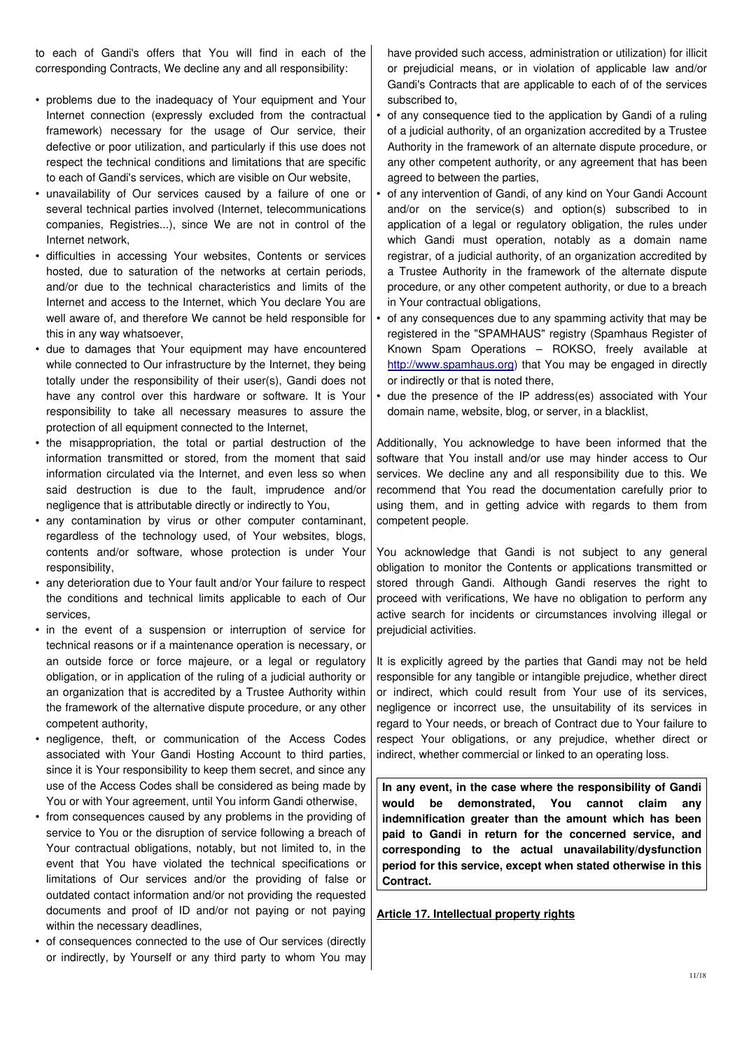to each of Gandi's offers that You will find in each of the corresponding Contracts, We decline any and all responsibility:

- problems due to the inadequacy of Your equipment and Your Internet connection (expressly excluded from the contractual framework) necessary for the usage of Our service, their defective or poor utilization, and particularly if this use does not respect the technical conditions and limitations that are specific to each of Gandi's services, which are visible on Our website,
- unavailability of Our services caused by a failure of one or several technical parties involved (Internet, telecommunications companies, Registries...), since We are not in control of the Internet network,
- difficulties in accessing Your websites, Contents or services hosted, due to saturation of the networks at certain periods, and/or due to the technical characteristics and limits of the Internet and access to the Internet, which You declare You are well aware of, and therefore We cannot be held responsible for this in any way whatsoever,
- due to damages that Your equipment may have encountered while connected to Our infrastructure by the Internet, they being totally under the responsibility of their user(s), Gandi does not have any control over this hardware or software. It is Your responsibility to take all necessary measures to assure the protection of all equipment connected to the Internet,
- the misappropriation, the total or partial destruction of the information transmitted or stored, from the moment that said information circulated via the Internet, and even less so when said destruction is due to the fault, imprudence and/or negligence that is attributable directly or indirectly to You,
- any contamination by virus or other computer contaminant, regardless of the technology used, of Your websites, blogs, contents and/or software, whose protection is under Your responsibility,
- any deterioration due to Your fault and/or Your failure to respect the conditions and technical limits applicable to each of Our services,
- in the event of a suspension or interruption of service for technical reasons or if a maintenance operation is necessary, or an outside force or force majeure, or a legal or regulatory obligation, or in application of the ruling of a judicial authority or an organization that is accredited by a Trustee Authority within the framework of the alternative dispute procedure, or any other competent authority,
- negligence, theft, or communication of the Access Codes associated with Your Gandi Hosting Account to third parties, since it is Your responsibility to keep them secret, and since any use of the Access Codes shall be considered as being made by You or with Your agreement, until You inform Gandi otherwise,
- from consequences caused by any problems in the providing of service to You or the disruption of service following a breach of Your contractual obligations, notably, but not limited to, in the event that You have violated the technical specifications or limitations of Our services and/or the providing of false or outdated contact information and/or not providing the requested documents and proof of ID and/or not paying or not paying within the necessary deadlines,
- of consequences connected to the use of Our services (directly or indirectly, by Yourself or any third party to whom You may

have provided such access, administration or utilization) for illicit or prejudicial means, or in violation of applicable law and/or Gandi's Contracts that are applicable to each of of the services subscribed to,

- of any consequence tied to the application by Gandi of a ruling of a judicial authority, of an organization accredited by a Trustee Authority in the framework of an alternate dispute procedure, or any other competent authority, or any agreement that has been agreed to between the parties,
- of any intervention of Gandi, of any kind on Your Gandi Account and/or on the service(s) and option(s) subscribed to in application of a legal or regulatory obligation, the rules under which Gandi must operation, notably as a domain name registrar, of a judicial authority, of an organization accredited by a Trustee Authority in the framework of the alternate dispute procedure, or any other competent authority, or due to a breach in Your contractual obligations,
- of any consequences due to any spamming activity that may be registered in the "SPAMHAUS" registry (Spamhaus Register of Known Spam Operations – ROKSO, freely available at [http://www.spamhaus.org\)](http://www.spamhaus.org/) that You may be engaged in directly or indirectly or that is noted there,
- due the presence of the IP address(es) associated with Your domain name, website, blog, or server, in a blacklist,

Additionally, You acknowledge to have been informed that the software that You install and/or use may hinder access to Our services. We decline any and all responsibility due to this. We recommend that You read the documentation carefully prior to using them, and in getting advice with regards to them from competent people.

You acknowledge that Gandi is not subject to any general obligation to monitor the Contents or applications transmitted or stored through Gandi. Although Gandi reserves the right to proceed with verifications, We have no obligation to perform any active search for incidents or circumstances involving illegal or prejudicial activities.

It is explicitly agreed by the parties that Gandi may not be held responsible for any tangible or intangible prejudice, whether direct or indirect, which could result from Your use of its services, negligence or incorrect use, the unsuitability of its services in regard to Your needs, or breach of Contract due to Your failure to respect Your obligations, or any prejudice, whether direct or indirect, whether commercial or linked to an operating loss.

**In any event, in the case where the responsibility of Gandi would be demonstrated, You cannot claim any indemnification greater than the amount which has been paid to Gandi in return for the concerned service, and corresponding to the actual unavailability/dysfunction period for this service, except when stated otherwise in this Contract.**

**Article 17. Intellectual property rights**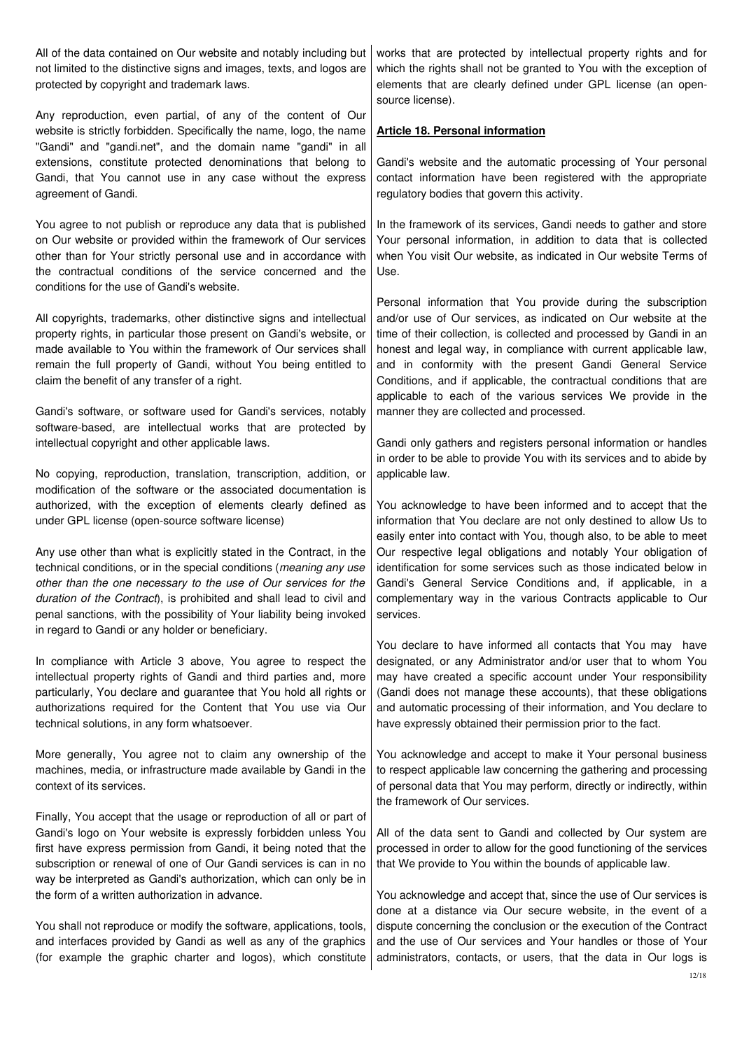| All of the data contained on Our website and notably including but<br>not limited to the distinctive signs and images, texts, and logos are<br>protected by copyright and trademark laws.                                                                                                                                                                                                                           | works that are protected by intellectual property rights and for<br>which the rights shall not be granted to You with the exception of<br>elements that are clearly defined under GPL license (an open-<br>source license).                                                                                                                                                                                                                                                  |
|---------------------------------------------------------------------------------------------------------------------------------------------------------------------------------------------------------------------------------------------------------------------------------------------------------------------------------------------------------------------------------------------------------------------|------------------------------------------------------------------------------------------------------------------------------------------------------------------------------------------------------------------------------------------------------------------------------------------------------------------------------------------------------------------------------------------------------------------------------------------------------------------------------|
| Any reproduction, even partial, of any of the content of Our<br>website is strictly forbidden. Specifically the name, logo, the name                                                                                                                                                                                                                                                                                | <b>Article 18. Personal information</b>                                                                                                                                                                                                                                                                                                                                                                                                                                      |
| "Gandi" and "gandi.net", and the domain name "gandi" in all<br>extensions, constitute protected denominations that belong to<br>Gandi, that You cannot use in any case without the express<br>agreement of Gandi.                                                                                                                                                                                                   | Gandi's website and the automatic processing of Your personal<br>contact information have been registered with the appropriate<br>regulatory bodies that govern this activity.                                                                                                                                                                                                                                                                                               |
| You agree to not publish or reproduce any data that is published<br>on Our website or provided within the framework of Our services<br>other than for Your strictly personal use and in accordance with<br>the contractual conditions of the service concerned and the<br>conditions for the use of Gandi's website.                                                                                                | In the framework of its services, Gandi needs to gather and store<br>Your personal information, in addition to data that is collected<br>when You visit Our website, as indicated in Our website Terms of<br>Use.                                                                                                                                                                                                                                                            |
| All copyrights, trademarks, other distinctive signs and intellectual<br>property rights, in particular those present on Gandi's website, or<br>made available to You within the framework of Our services shall<br>remain the full property of Gandi, without You being entitled to<br>claim the benefit of any transfer of a right.                                                                                | Personal information that You provide during the subscription<br>and/or use of Our services, as indicated on Our website at the<br>time of their collection, is collected and processed by Gandi in an<br>honest and legal way, in compliance with current applicable law,<br>and in conformity with the present Gandi General Service<br>Conditions, and if applicable, the contractual conditions that are<br>applicable to each of the various services We provide in the |
| Gandi's software, or software used for Gandi's services, notably<br>software-based, are intellectual works that are protected by<br>intellectual copyright and other applicable laws.                                                                                                                                                                                                                               | manner they are collected and processed.<br>Gandi only gathers and registers personal information or handles                                                                                                                                                                                                                                                                                                                                                                 |
| No copying, reproduction, translation, transcription, addition, or<br>modification of the software or the associated documentation is<br>authorized, with the exception of elements clearly defined as<br>under GPL license (open-source software license)                                                                                                                                                          | in order to be able to provide You with its services and to abide by<br>applicable law.<br>You acknowledge to have been informed and to accept that the<br>information that You declare are not only destined to allow Us to                                                                                                                                                                                                                                                 |
| Any use other than what is explicitly stated in the Contract, in the<br>technical conditions, or in the special conditions (meaning any use<br>other than the one necessary to the use of Our services for the<br>duration of the Contract), is prohibited and shall lead to civil and<br>penal sanctions, with the possibility of Your liability being invoked<br>in regard to Gandi or any holder or beneficiary. | easily enter into contact with You, though also, to be able to meet<br>Our respective legal obligations and notably Your obligation of<br>identification for some services such as those indicated below in<br>Gandi's General Service Conditions and, if applicable, in a<br>complementary way in the various Contracts applicable to Our<br>services.                                                                                                                      |
| In compliance with Article 3 above, You agree to respect the<br>intellectual property rights of Gandi and third parties and, more<br>particularly, You declare and guarantee that You hold all rights or<br>authorizations required for the Content that You use via Our<br>technical solutions, in any form whatsoever.                                                                                            | You declare to have informed all contacts that You may have<br>designated, or any Administrator and/or user that to whom You<br>may have created a specific account under Your responsibility<br>(Gandi does not manage these accounts), that these obligations<br>and automatic processing of their information, and You declare to<br>have expressly obtained their permission prior to the fact.                                                                          |
| More generally, You agree not to claim any ownership of the<br>machines, media, or infrastructure made available by Gandi in the<br>context of its services.                                                                                                                                                                                                                                                        | You acknowledge and accept to make it Your personal business<br>to respect applicable law concerning the gathering and processing<br>of personal data that You may perform, directly or indirectly, within<br>the framework of Our services.                                                                                                                                                                                                                                 |
| Finally, You accept that the usage or reproduction of all or part of<br>Gandi's logo on Your website is expressly forbidden unless You<br>first have express permission from Gandi, it being noted that the<br>subscription or renewal of one of Our Gandi services is can in no<br>way be interpreted as Gandi's authorization, which can only be in<br>the form of a written authorization in advance.            | All of the data sent to Gandi and collected by Our system are<br>processed in order to allow for the good functioning of the services<br>that We provide to You within the bounds of applicable law.<br>You acknowledge and accept that, since the use of Our services is                                                                                                                                                                                                    |
| You shall not reproduce or modify the software, applications, tools,<br>and interfaces provided by Gandi as well as any of the graphics<br>(for example the graphic charter and logos), which constitute                                                                                                                                                                                                            | done at a distance via Our secure website, in the event of a<br>dispute concerning the conclusion or the execution of the Contract<br>and the use of Our services and Your handles or those of Your<br>administrators, contacts, or users, that the data in Our logs is<br>12/18                                                                                                                                                                                             |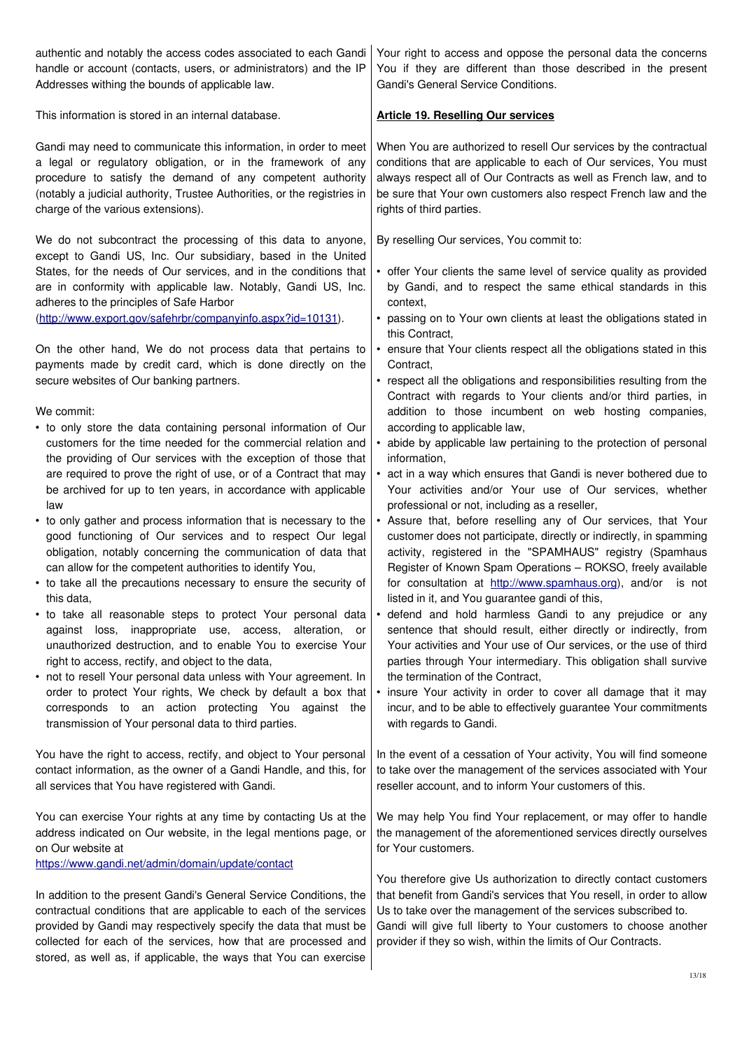| authentic and notably the access codes associated to each Gandi                                                                                                                                                                                                                | Your right to access and oppose the personal data the concerns                                                                                                                                                                                                                                                                                   |
|--------------------------------------------------------------------------------------------------------------------------------------------------------------------------------------------------------------------------------------------------------------------------------|--------------------------------------------------------------------------------------------------------------------------------------------------------------------------------------------------------------------------------------------------------------------------------------------------------------------------------------------------|
| handle or account (contacts, users, or administrators) and the IP                                                                                                                                                                                                              | You if they are different than those described in the present                                                                                                                                                                                                                                                                                    |
| Addresses withing the bounds of applicable law.                                                                                                                                                                                                                                | Gandi's General Service Conditions.                                                                                                                                                                                                                                                                                                              |
| This information is stored in an internal database.                                                                                                                                                                                                                            | <b>Article 19. Reselling Our services</b>                                                                                                                                                                                                                                                                                                        |
| Gandi may need to communicate this information, in order to meet                                                                                                                                                                                                               | When You are authorized to resell Our services by the contractual                                                                                                                                                                                                                                                                                |
| a legal or regulatory obligation, or in the framework of any                                                                                                                                                                                                                   | conditions that are applicable to each of Our services, You must                                                                                                                                                                                                                                                                                 |
| procedure to satisfy the demand of any competent authority                                                                                                                                                                                                                     | always respect all of Our Contracts as well as French law, and to                                                                                                                                                                                                                                                                                |
| (notably a judicial authority, Trustee Authorities, or the registries in                                                                                                                                                                                                       | be sure that Your own customers also respect French law and the                                                                                                                                                                                                                                                                                  |
| charge of the various extensions).                                                                                                                                                                                                                                             | rights of third parties.                                                                                                                                                                                                                                                                                                                         |
| We do not subcontract the processing of this data to anyone,<br>except to Gandi US, Inc. Our subsidiary, based in the United                                                                                                                                                   | By reselling Our services, You commit to:                                                                                                                                                                                                                                                                                                        |
| States, for the needs of Our services, and in the conditions that                                                                                                                                                                                                              | • offer Your clients the same level of service quality as provided                                                                                                                                                                                                                                                                               |
| are in conformity with applicable law. Notably, Gandi US, Inc.                                                                                                                                                                                                                 | by Gandi, and to respect the same ethical standards in this                                                                                                                                                                                                                                                                                      |
| adheres to the principles of Safe Harbor                                                                                                                                                                                                                                       | context.                                                                                                                                                                                                                                                                                                                                         |
| (http://www.export.gov/safehrbr/companyinfo.aspx?id=10131).                                                                                                                                                                                                                    | • passing on to Your own clients at least the obligations stated in<br>this Contract,                                                                                                                                                                                                                                                            |
| On the other hand, We do not process data that pertains to                                                                                                                                                                                                                     | • ensure that Your clients respect all the obligations stated in this                                                                                                                                                                                                                                                                            |
| payments made by credit card, which is done directly on the                                                                                                                                                                                                                    | Contract,                                                                                                                                                                                                                                                                                                                                        |
| secure websites of Our banking partners.                                                                                                                                                                                                                                       | • respect all the obligations and responsibilities resulting from the                                                                                                                                                                                                                                                                            |
| We commit:<br>• to only store the data containing personal information of Our                                                                                                                                                                                                  | Contract with regards to Your clients and/or third parties, in<br>addition to those incumbent on web hosting companies,<br>according to applicable law,                                                                                                                                                                                          |
| customers for the time needed for the commercial relation and                                                                                                                                                                                                                  | • abide by applicable law pertaining to the protection of personal                                                                                                                                                                                                                                                                               |
| the providing of Our services with the exception of those that                                                                                                                                                                                                                 | information,                                                                                                                                                                                                                                                                                                                                     |
| are required to prove the right of use, or of a Contract that may                                                                                                                                                                                                              | • act in a way which ensures that Gandi is never bothered due to                                                                                                                                                                                                                                                                                 |
| be archived for up to ten years, in accordance with applicable                                                                                                                                                                                                                 | Your activities and/or Your use of Our services, whether                                                                                                                                                                                                                                                                                         |
| law                                                                                                                                                                                                                                                                            | professional or not, including as a reseller,                                                                                                                                                                                                                                                                                                    |
| • to only gather and process information that is necessary to the                                                                                                                                                                                                              | • Assure that, before reselling any of Our services, that Your                                                                                                                                                                                                                                                                                   |
| good functioning of Our services and to respect Our legal                                                                                                                                                                                                                      | customer does not participate, directly or indirectly, in spamming                                                                                                                                                                                                                                                                               |
| obligation, notably concerning the communication of data that                                                                                                                                                                                                                  | activity, registered in the "SPAMHAUS" registry (Spamhaus                                                                                                                                                                                                                                                                                        |
| can allow for the competent authorities to identify You,                                                                                                                                                                                                                       | Register of Known Spam Operations - ROKSO, freely available                                                                                                                                                                                                                                                                                      |
| • to take all the precautions necessary to ensure the security of                                                                                                                                                                                                              | for consultation at http://www.spamhaus.org), and/or is not                                                                                                                                                                                                                                                                                      |
| this data,                                                                                                                                                                                                                                                                     | listed in it, and You guarantee gandi of this,                                                                                                                                                                                                                                                                                                   |
| • to take all reasonable steps to protect Your personal data<br>against loss, inappropriate use, access,<br>alteration, or<br>unauthorized destruction, and to enable You to exercise Your<br>right to access, rectify, and object to the data,                                | • defend and hold harmless Gandi to any prejudice or any<br>sentence that should result, either directly or indirectly, from<br>Your activities and Your use of Our services, or the use of third<br>parties through Your intermediary. This obligation shall survive                                                                            |
| • not to resell Your personal data unless with Your agreement. In                                                                                                                                                                                                              | the termination of the Contract,                                                                                                                                                                                                                                                                                                                 |
| order to protect Your rights, We check by default a box that                                                                                                                                                                                                                   | • insure Your activity in order to cover all damage that it may                                                                                                                                                                                                                                                                                  |
| corresponds to an action protecting You against the                                                                                                                                                                                                                            | incur, and to be able to effectively guarantee Your commitments                                                                                                                                                                                                                                                                                  |
| transmission of Your personal data to third parties.                                                                                                                                                                                                                           | with regards to Gandi.                                                                                                                                                                                                                                                                                                                           |
| You have the right to access, rectify, and object to Your personal                                                                                                                                                                                                             | In the event of a cessation of Your activity, You will find someone                                                                                                                                                                                                                                                                              |
| contact information, as the owner of a Gandi Handle, and this, for                                                                                                                                                                                                             | to take over the management of the services associated with Your                                                                                                                                                                                                                                                                                 |
| all services that You have registered with Gandi.                                                                                                                                                                                                                              | reseller account, and to inform Your customers of this.                                                                                                                                                                                                                                                                                          |
| You can exercise Your rights at any time by contacting Us at the<br>address indicated on Our website, in the legal mentions page, or<br>on Our website at<br>https://www.gandi.net/admin/domain/update/contact                                                                 | We may help You find Your replacement, or may offer to handle<br>the management of the aforementioned services directly ourselves<br>for Your customers.                                                                                                                                                                                         |
| In addition to the present Gandi's General Service Conditions, the<br>contractual conditions that are applicable to each of the services<br>provided by Gandi may respectively specify the data that must be<br>collected for each of the services, how that are processed and | You therefore give Us authorization to directly contact customers<br>that benefit from Gandi's services that You resell, in order to allow<br>Us to take over the management of the services subscribed to.<br>Gandi will give full liberty to Your customers to choose another<br>provider if they so wish, within the limits of Our Contracts. |

stored, as well as, if applicable, the ways that You can exercise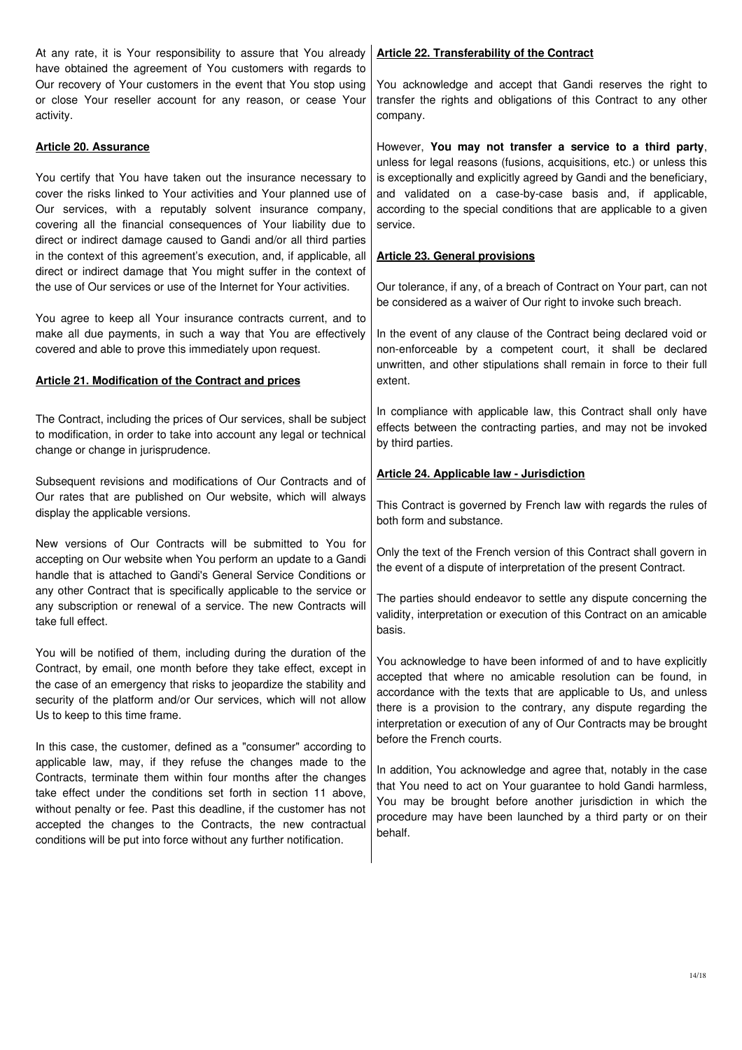At any rate, it is Your responsibility to assure that You already have obtained the agreement of You customers with regards to Our recovery of Your customers in the event that You stop using or close Your reseller account for any reason, or cease Your activity. **Article 20. Assurance** You certify that You have taken out the insurance necessary to cover the risks linked to Your activities and Your planned use of Our services, with a reputably solvent insurance company, covering all the financial consequences of Your liability due to direct or indirect damage caused to Gandi and/or all third parties in the context of this agreement's execution, and, if applicable, all direct or indirect damage that You might suffer in the context of the use of Our services or use of the Internet for Your activities. You agree to keep all Your insurance contracts current, and to make all due payments, in such a way that You are effectively covered and able to prove this immediately upon request. **Article 21. Modification of the Contract and prices** The Contract, including the prices of Our services, shall be subject to modification, in order to take into account any legal or technical change or change in jurisprudence. Subsequent revisions and modifications of Our Contracts and of Our rates that are published on Our website, which will always display the applicable versions. New versions of Our Contracts will be submitted to You for accepting on Our website when You perform an update to a Gandi handle that is attached to Gandi's General Service Conditions or any other Contract that is specifically applicable to the service or any subscription or renewal of a service. The new Contracts will take full effect. You will be notified of them, including during the duration of the Contract, by email, one month before they take effect, except in the case of an emergency that risks to jeopardize the stability and security of the platform and/or Our services, which will not allow Us to keep to this time frame. In this case, the customer, defined as a "consumer" according to applicable law, may, if they refuse the changes made to the Contracts, terminate them within four months after the changes take effect under the conditions set forth in section 11 above, without penalty or fee. Past this deadline, if the customer has not accepted the changes to the Contracts, the new contractual conditions will be put into force without any further notification.  **Article 22. Transferability of the Contract** You acknowledge and accept that Gandi reserves the right to transfer the rights and obligations of this Contract to any other company. However, **You may not transfer a service to a third party**, unless for legal reasons (fusions, acquisitions, etc.) or unless this is exceptionally and explicitly agreed by Gandi and the beneficiary, and validated on a case-by-case basis and, if applicable, according to the special conditions that are applicable to a given service. **Article 23. General provisions** Our tolerance, if any, of a breach of Contract on Your part, can not be considered as a waiver of Our right to invoke such breach. In the event of any clause of the Contract being declared void or non-enforceable by a competent court, it shall be declared unwritten, and other stipulations shall remain in force to their full extent. In compliance with applicable law, this Contract shall only have effects between the contracting parties, and may not be invoked by third parties. **Article 24. Applicable law - Jurisdiction** This Contract is governed by French law with regards the rules of both form and substance. Only the text of the French version of this Contract shall govern in the event of a dispute of interpretation of the present Contract. The parties should endeavor to settle any dispute concerning the validity, interpretation or execution of this Contract on an amicable basis. You acknowledge to have been informed of and to have explicitly accepted that where no amicable resolution can be found, in accordance with the texts that are applicable to Us, and unless there is a provision to the contrary, any dispute regarding the interpretation or execution of any of Our Contracts may be brought before the French courts. In addition, You acknowledge and agree that, notably in the case that You need to act on Your guarantee to hold Gandi harmless, You may be brought before another jurisdiction in which the procedure may have been launched by a third party or on their behalf.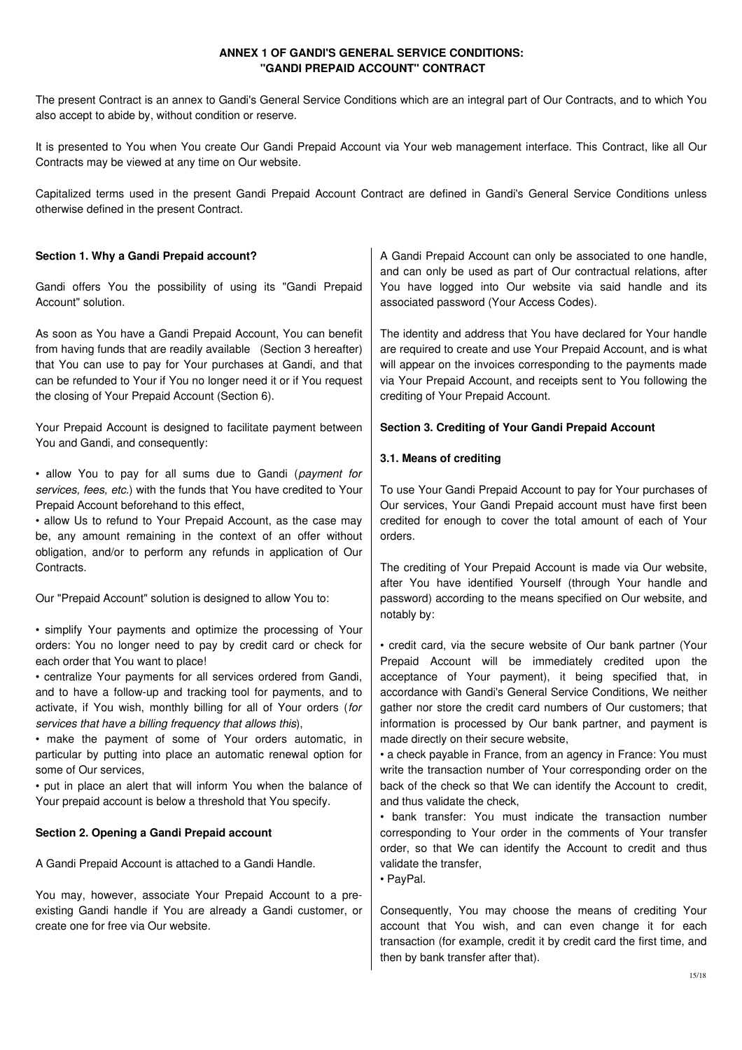## **ANNEX 1 OF GANDI'S GENERAL SERVICE CONDITIONS: "GANDI PREPAID ACCOUNT" CONTRACT**

The present Contract is an annex to Gandi's General Service Conditions which are an integral part of Our Contracts, and to which You also accept to abide by, without condition or reserve.

It is presented to You when You create Our Gandi Prepaid Account via Your web management interface. This Contract, like all Our Contracts may be viewed at any time on Our website.

Capitalized terms used in the present Gandi Prepaid Account Contract are defined in Gandi's General Service Conditions unless otherwise defined in the present Contract.

| Section 1. Why a Gandi Prepaid account?                                                                                                                                                                                                                                                                                                                                                                                                                                                                                                                                                                                                                                                                                                | A Gandi Prepaid Account can only be associated to one handle,<br>and can only be used as part of Our contractual relations, after                                                                                                                                                                                                                                                                                                                                                                                                                                                                                                                                                                                                          |
|----------------------------------------------------------------------------------------------------------------------------------------------------------------------------------------------------------------------------------------------------------------------------------------------------------------------------------------------------------------------------------------------------------------------------------------------------------------------------------------------------------------------------------------------------------------------------------------------------------------------------------------------------------------------------------------------------------------------------------------|--------------------------------------------------------------------------------------------------------------------------------------------------------------------------------------------------------------------------------------------------------------------------------------------------------------------------------------------------------------------------------------------------------------------------------------------------------------------------------------------------------------------------------------------------------------------------------------------------------------------------------------------------------------------------------------------------------------------------------------------|
| Gandi offers You the possibility of using its "Gandi Prepaid<br>Account" solution.                                                                                                                                                                                                                                                                                                                                                                                                                                                                                                                                                                                                                                                     | You have logged into Our website via said handle and its<br>associated password (Your Access Codes).                                                                                                                                                                                                                                                                                                                                                                                                                                                                                                                                                                                                                                       |
| As soon as You have a Gandi Prepaid Account, You can benefit<br>from having funds that are readily available (Section 3 hereafter)<br>that You can use to pay for Your purchases at Gandi, and that<br>can be refunded to Your if You no longer need it or if You request<br>the closing of Your Prepaid Account (Section 6).                                                                                                                                                                                                                                                                                                                                                                                                          | The identity and address that You have declared for Your handle<br>are required to create and use Your Prepaid Account, and is what<br>will appear on the invoices corresponding to the payments made<br>via Your Prepaid Account, and receipts sent to You following the<br>crediting of Your Prepaid Account.                                                                                                                                                                                                                                                                                                                                                                                                                            |
| Your Prepaid Account is designed to facilitate payment between<br>You and Gandi, and consequently:                                                                                                                                                                                                                                                                                                                                                                                                                                                                                                                                                                                                                                     | Section 3. Crediting of Your Gandi Prepaid Account                                                                                                                                                                                                                                                                                                                                                                                                                                                                                                                                                                                                                                                                                         |
|                                                                                                                                                                                                                                                                                                                                                                                                                                                                                                                                                                                                                                                                                                                                        | 3.1. Means of crediting                                                                                                                                                                                                                                                                                                                                                                                                                                                                                                                                                                                                                                                                                                                    |
| • allow You to pay for all sums due to Gandi (payment for<br>services, fees, etc.) with the funds that You have credited to Your<br>Prepaid Account beforehand to this effect,<br>• allow Us to refund to Your Prepaid Account, as the case may<br>be, any amount remaining in the context of an offer without<br>obligation, and/or to perform any refunds in application of Our                                                                                                                                                                                                                                                                                                                                                      | To use Your Gandi Prepaid Account to pay for Your purchases of<br>Our services, Your Gandi Prepaid account must have first been<br>credited for enough to cover the total amount of each of Your<br>orders.                                                                                                                                                                                                                                                                                                                                                                                                                                                                                                                                |
| Contracts.                                                                                                                                                                                                                                                                                                                                                                                                                                                                                                                                                                                                                                                                                                                             | The crediting of Your Prepaid Account is made via Our website,                                                                                                                                                                                                                                                                                                                                                                                                                                                                                                                                                                                                                                                                             |
| Our "Prepaid Account" solution is designed to allow You to:                                                                                                                                                                                                                                                                                                                                                                                                                                                                                                                                                                                                                                                                            | after You have identified Yourself (through Your handle and<br>password) according to the means specified on Our website, and<br>notably by:                                                                                                                                                                                                                                                                                                                                                                                                                                                                                                                                                                                               |
| • simplify Your payments and optimize the processing of Your<br>orders: You no longer need to pay by credit card or check for<br>each order that You want to place!<br>• centralize Your payments for all services ordered from Gandi,<br>and to have a follow-up and tracking tool for payments, and to<br>activate, if You wish, monthly billing for all of Your orders (for<br>services that have a billing frequency that allows this),<br>• make the payment of some of Your orders automatic, in<br>particular by putting into place an automatic renewal option for<br>some of Our services,<br>• put in place an alert that will inform You when the balance of<br>Your prepaid account is below a threshold that You specify. | • credit card, via the secure website of Our bank partner (Your<br>Prepaid Account will be immediately credited upon the<br>acceptance of Your payment), it being specified that, in<br>accordance with Gandi's General Service Conditions, We neither<br>gather nor store the credit card numbers of Our customers; that<br>information is processed by Our bank partner, and payment is<br>made directly on their secure website,<br>• a check payable in France, from an agency in France: You must<br>write the transaction number of Your corresponding order on the<br>back of the check so that We can identify the Account to credit,<br>and thus validate the check,<br>• bank transfer: You must indicate the transaction number |
| Section 2. Opening a Gandi Prepaid account                                                                                                                                                                                                                                                                                                                                                                                                                                                                                                                                                                                                                                                                                             | corresponding to Your order in the comments of Your transfer<br>order, so that We can identify the Account to credit and thus                                                                                                                                                                                                                                                                                                                                                                                                                                                                                                                                                                                                              |
| A Gandi Prepaid Account is attached to a Gandi Handle.                                                                                                                                                                                                                                                                                                                                                                                                                                                                                                                                                                                                                                                                                 | validate the transfer,<br>• PayPal.                                                                                                                                                                                                                                                                                                                                                                                                                                                                                                                                                                                                                                                                                                        |
| You may, however, associate Your Prepaid Account to a pre-                                                                                                                                                                                                                                                                                                                                                                                                                                                                                                                                                                                                                                                                             |                                                                                                                                                                                                                                                                                                                                                                                                                                                                                                                                                                                                                                                                                                                                            |
| existing Gandi handle if You are already a Gandi customer, or<br>create one for free via Our website.                                                                                                                                                                                                                                                                                                                                                                                                                                                                                                                                                                                                                                  | Consequently, You may choose the means of crediting Your<br>account that You wish, and can even change it for each<br>transaction (for example, credit it by credit card the first time, and<br>then by bank transfer after that).                                                                                                                                                                                                                                                                                                                                                                                                                                                                                                         |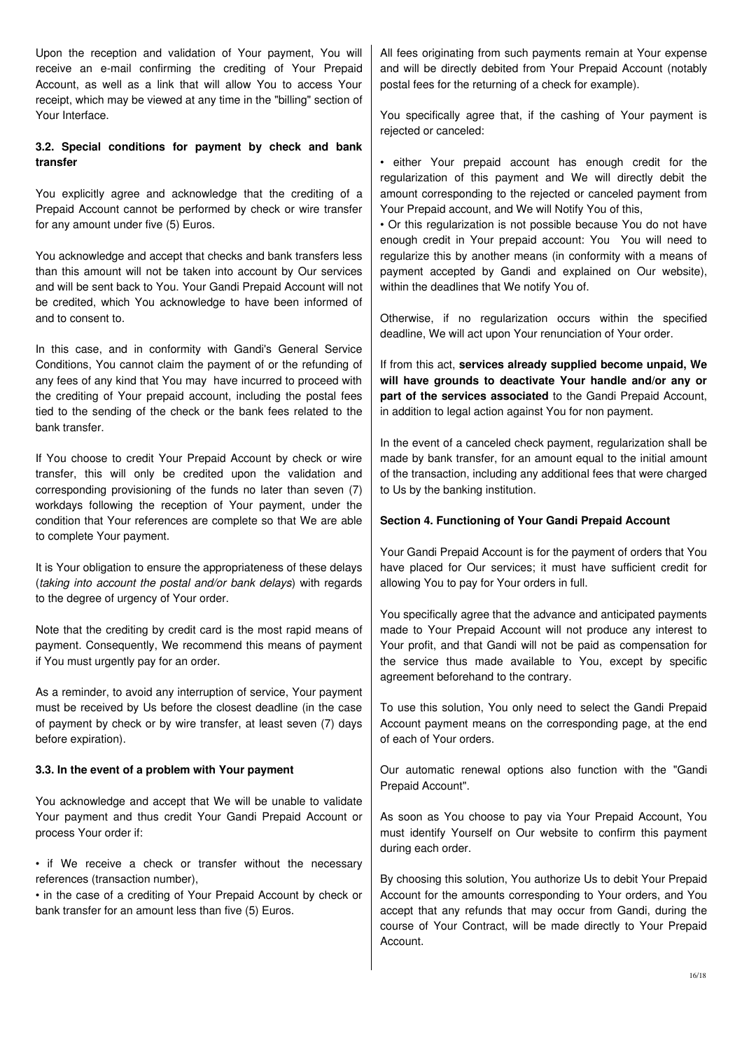Upon the reception and validation of Your payment, You will receive an e-mail confirming the crediting of Your Prepaid Account, as well as a link that will allow You to access Your receipt, which may be viewed at any time in the "billing" section of Your Interface.

### **3.2. Special conditions for payment by check and bank transfer**

You explicitly agree and acknowledge that the crediting of a Prepaid Account cannot be performed by check or wire transfer for any amount under five (5) Euros.

You acknowledge and accept that checks and bank transfers less than this amount will not be taken into account by Our services and will be sent back to You. Your Gandi Prepaid Account will not be credited, which You acknowledge to have been informed of and to consent to.

In this case, and in conformity with Gandi's General Service Conditions, You cannot claim the payment of or the refunding of any fees of any kind that You may have incurred to proceed with the crediting of Your prepaid account, including the postal fees tied to the sending of the check or the bank fees related to the bank transfer.

If You choose to credit Your Prepaid Account by check or wire transfer, this will only be credited upon the validation and corresponding provisioning of the funds no later than seven (7) workdays following the reception of Your payment, under the condition that Your references are complete so that We are able to complete Your payment.

It is Your obligation to ensure the appropriateness of these delays (taking into account the postal and/or bank delays) with regards to the degree of urgency of Your order.

Note that the crediting by credit card is the most rapid means of payment. Consequently, We recommend this means of payment if You must urgently pay for an order.

As a reminder, to avoid any interruption of service, Your payment must be received by Us before the closest deadline (in the case of payment by check or by wire transfer, at least seven (7) days before expiration).

### **3.3. In the event of a problem with Your payment**

You acknowledge and accept that We will be unable to validate Your payment and thus credit Your Gandi Prepaid Account or process Your order if:

• if We receive a check or transfer without the necessary references (transaction number),

• in the case of a crediting of Your Prepaid Account by check or bank transfer for an amount less than five (5) Euros.

All fees originating from such payments remain at Your expense and will be directly debited from Your Prepaid Account (notably postal fees for the returning of a check for example).

You specifically agree that, if the cashing of Your payment is rejected or canceled:

• either Your prepaid account has enough credit for the regularization of this payment and We will directly debit the amount corresponding to the rejected or canceled payment from Your Prepaid account, and We will Notify You of this,

• Or this regularization is not possible because You do not have enough credit in Your prepaid account: You You will need to regularize this by another means (in conformity with a means of payment accepted by Gandi and explained on Our website), within the deadlines that We notify You of.

Otherwise, if no regularization occurs within the specified deadline, We will act upon Your renunciation of Your order.

If from this act, **services already supplied become unpaid, We will have grounds to deactivate Your handle and/or any or part of the services associated** to the Gandi Prepaid Account, in addition to legal action against You for non payment.

In the event of a canceled check payment, regularization shall be made by bank transfer, for an amount equal to the initial amount of the transaction, including any additional fees that were charged to Us by the banking institution.

# **Section 4. Functioning of Your Gandi Prepaid Account**

Your Gandi Prepaid Account is for the payment of orders that You have placed for Our services; it must have sufficient credit for allowing You to pay for Your orders in full.

You specifically agree that the advance and anticipated payments made to Your Prepaid Account will not produce any interest to Your profit, and that Gandi will not be paid as compensation for the service thus made available to You, except by specific agreement beforehand to the contrary.

To use this solution, You only need to select the Gandi Prepaid Account payment means on the corresponding page, at the end of each of Your orders.

Our automatic renewal options also function with the "Gandi Prepaid Account".

As soon as You choose to pay via Your Prepaid Account, You must identify Yourself on Our website to confirm this payment during each order.

By choosing this solution, You authorize Us to debit Your Prepaid Account for the amounts corresponding to Your orders, and You accept that any refunds that may occur from Gandi, during the course of Your Contract, will be made directly to Your Prepaid Account.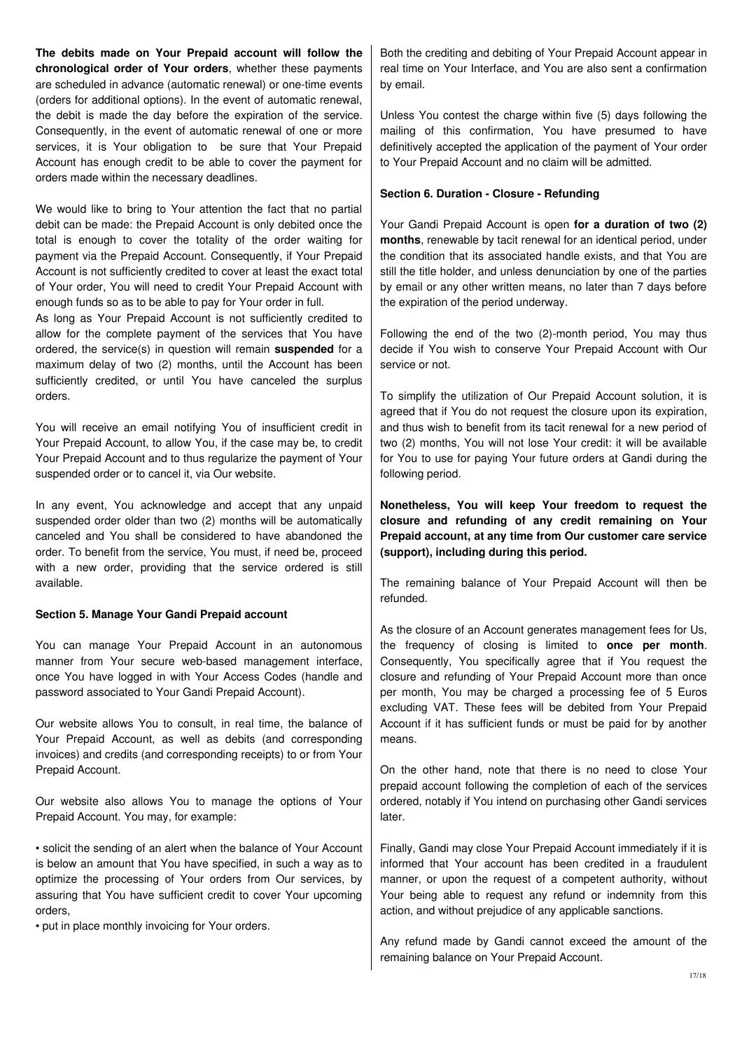**The debits made on Your Prepaid account will follow the chronological order of Your orders**, whether these payments are scheduled in advance (automatic renewal) or one-time events (orders for additional options). In the event of automatic renewal, the debit is made the day before the expiration of the service. Consequently, in the event of automatic renewal of one or more services, it is Your obligation to be sure that Your Prepaid Account has enough credit to be able to cover the payment for orders made within the necessary deadlines.

We would like to bring to Your attention the fact that no partial debit can be made: the Prepaid Account is only debited once the total is enough to cover the totality of the order waiting for payment via the Prepaid Account. Consequently, if Your Prepaid Account is not sufficiently credited to cover at least the exact total of Your order, You will need to credit Your Prepaid Account with enough funds so as to be able to pay for Your order in full.

As long as Your Prepaid Account is not sufficiently credited to allow for the complete payment of the services that You have ordered, the service(s) in question will remain **suspended** for a maximum delay of two (2) months, until the Account has been sufficiently credited, or until You have canceled the surplus orders.

You will receive an email notifying You of insufficient credit in Your Prepaid Account, to allow You, if the case may be, to credit Your Prepaid Account and to thus regularize the payment of Your suspended order or to cancel it, via Our website.

In any event, You acknowledge and accept that any unpaid suspended order older than two (2) months will be automatically canceled and You shall be considered to have abandoned the order. To benefit from the service, You must, if need be, proceed with a new order, providing that the service ordered is still available.

### **Section 5. Manage Your Gandi Prepaid account**

You can manage Your Prepaid Account in an autonomous manner from Your secure web-based management interface, once You have logged in with Your Access Codes (handle and password associated to Your Gandi Prepaid Account).

Our website allows You to consult, in real time, the balance of Your Prepaid Account, as well as debits (and corresponding invoices) and credits (and corresponding receipts) to or from Your Prepaid Account.

Our website also allows You to manage the options of Your Prepaid Account. You may, for example:

• solicit the sending of an alert when the balance of Your Account is below an amount that You have specified, in such a way as to optimize the processing of Your orders from Our services, by assuring that You have sufficient credit to cover Your upcoming orders,

• put in place monthly invoicing for Your orders.

Both the crediting and debiting of Your Prepaid Account appear in real time on Your Interface, and You are also sent a confirmation by email.

Unless You contest the charge within five (5) days following the mailing of this confirmation, You have presumed to have definitively accepted the application of the payment of Your order to Your Prepaid Account and no claim will be admitted.

### **Section 6. Duration - Closure - Refunding**

Your Gandi Prepaid Account is open **for a duration of two (2) months**, renewable by tacit renewal for an identical period, under the condition that its associated handle exists, and that You are still the title holder, and unless denunciation by one of the parties by email or any other written means, no later than 7 days before the expiration of the period underway.

Following the end of the two (2)-month period, You may thus decide if You wish to conserve Your Prepaid Account with Our service or not.

To simplify the utilization of Our Prepaid Account solution, it is agreed that if You do not request the closure upon its expiration, and thus wish to benefit from its tacit renewal for a new period of two (2) months, You will not lose Your credit: it will be available for You to use for paying Your future orders at Gandi during the following period.

**Nonetheless, You will keep Your freedom to request the closure and refunding of any credit remaining on Your Prepaid account, at any time from Our customer care service (support), including during this period.**

The remaining balance of Your Prepaid Account will then be refunded.

As the closure of an Account generates management fees for Us, the frequency of closing is limited to **once per month**. Consequently, You specifically agree that if You request the closure and refunding of Your Prepaid Account more than once per month, You may be charged a processing fee of 5 Euros excluding VAT. These fees will be debited from Your Prepaid Account if it has sufficient funds or must be paid for by another means.

On the other hand, note that there is no need to close Your prepaid account following the completion of each of the services ordered, notably if You intend on purchasing other Gandi services later.

Finally, Gandi may close Your Prepaid Account immediately if it is informed that Your account has been credited in a fraudulent manner, or upon the request of a competent authority, without Your being able to request any refund or indemnity from this action, and without prejudice of any applicable sanctions.

Any refund made by Gandi cannot exceed the amount of the remaining balance on Your Prepaid Account.